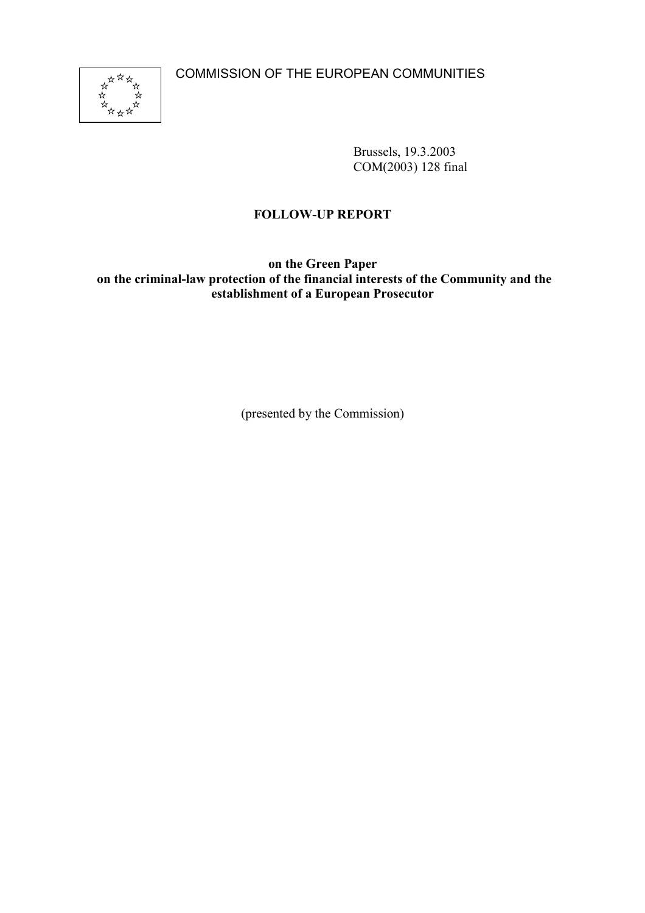COMMISSION OF THE EUROPEAN COMMUNITIES



Brussels, 19.3.2003 COM(2003) 128 final

# **FOLLOW-UP REPORT**

**on the Green Paper on the criminal-law protection of the financial interests of the Community and the establishment of a European Prosecutor**

(presented by the Commission)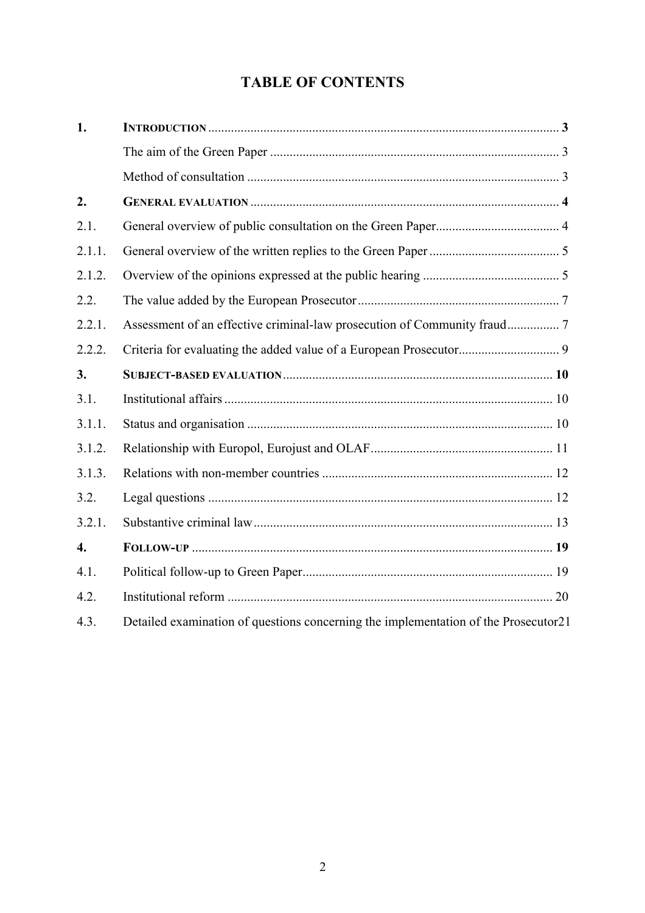# **TABLE OF CONTENTS**

| 1.               |                                                                                     |  |
|------------------|-------------------------------------------------------------------------------------|--|
|                  |                                                                                     |  |
|                  |                                                                                     |  |
| 2.               |                                                                                     |  |
| 2.1.             |                                                                                     |  |
| 2.1.1.           |                                                                                     |  |
| 2.1.2.           |                                                                                     |  |
| 2.2.             |                                                                                     |  |
| 2.2.1.           |                                                                                     |  |
| 2.2.2.           |                                                                                     |  |
| 3.               |                                                                                     |  |
| 3.1.             |                                                                                     |  |
| 3.1.1.           |                                                                                     |  |
| 3.1.2.           |                                                                                     |  |
| 3.1.3.           |                                                                                     |  |
| 3.2.             |                                                                                     |  |
| 3.2.1.           |                                                                                     |  |
| $\overline{4}$ . |                                                                                     |  |
| 4.1.             |                                                                                     |  |
| 4.2.             |                                                                                     |  |
| 4.3.             | Detailed examination of questions concerning the implementation of the Prosecutor21 |  |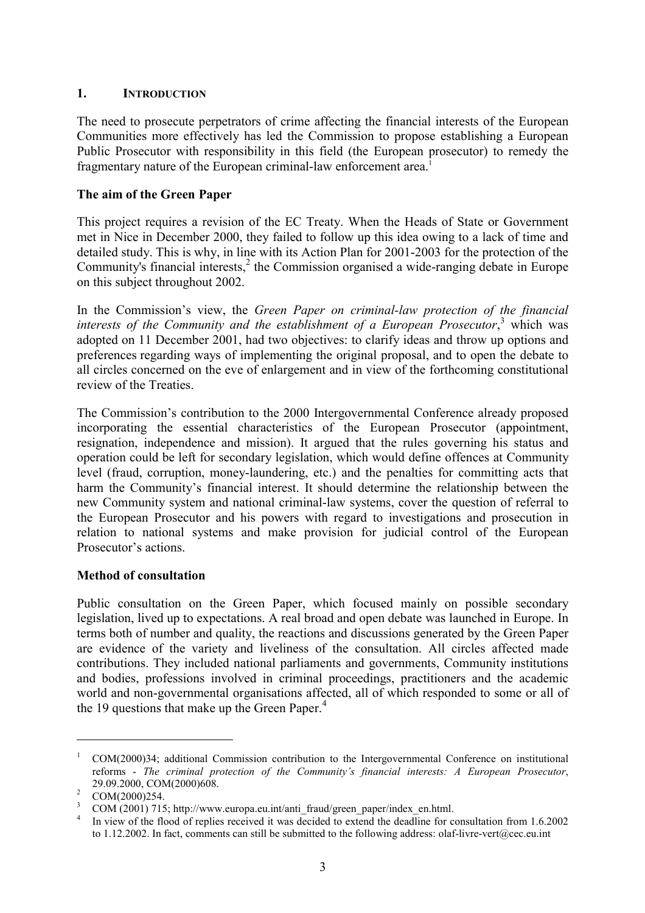#### **1. INTRODUCTION**

The need to prosecute perpetrators of crime affecting the financial interests of the European Communities more effectively has led the Commission to propose establishing a European Public Prosecutor with responsibility in this field (the European prosecutor) to remedy the fragmentary nature of the European criminal-law enforcement area.<sup>1</sup>

#### **The aim of the Green Paper**

This project requires a revision of the EC Treaty. When the Heads of State or Government met in Nice in December 2000, they failed to follow up this idea owing to a lack of time and detailed study. This is why, in line with its Action Plan for 2001-2003 for the protection of the Community's financial interests,<sup>2</sup> the Commission organised a wide-ranging debate in Europe on this subject throughout 2002.

In the Commission's view, the *Green Paper on criminal-law protection of the financial* interests of the Community and the establishment of a European Prosecutor,<sup>3</sup> which was adopted on 11 December 2001, had two objectives: to clarify ideas and throw up options and preferences regarding ways of implementing the original proposal, and to open the debate to all circles concerned on the eve of enlargement and in view of the forthcoming constitutional review of the Treaties.

The Commission's contribution to the 2000 Intergovernmental Conference already proposed incorporating the essential characteristics of the European Prosecutor (appointment, resignation, independence and mission). It argued that the rules governing his status and operation could be left for secondary legislation, which would define offences at Community level (fraud, corruption, money-laundering, etc.) and the penalties for committing acts that harm the Community's financial interest. It should determine the relationship between the new Community system and national criminal-law systems, cover the question of referral to the European Prosecutor and his powers with regard to investigations and prosecution in relation to national systems and make provision for judicial control of the European Prosecutor's actions.

#### **Method of consultation**

Public consultation on the Green Paper, which focused mainly on possible secondary legislation, lived up to expectations. A real broad and open debate was launched in Europe. In terms both of number and quality, the reactions and discussions generated by the Green Paper are evidence of the variety and liveliness of the consultation. All circles affected made contributions. They included national parliaments and governments, Community institutions and bodies, professions involved in criminal proceedings, practitioners and the academic world and non-governmental organisations affected, all of which responded to some or all of the 19 questions that make up the Green Paper. $4$ 

<sup>&</sup>lt;sup>1</sup> COM(2000)34; additional Commission contribution to the Intergovernmental Conference on institutional reforms - *The criminal protection of the Community's financial interests: A European Prosecutor*, 29.09.2000, COM(2000)608.<br>
<sup>2</sup> COM(2000)254.<br>
<sup>3</sup> COM (2001) 715; http://www.europa.eu.int/anti\_fraud/green\_paper/index\_en.html.<br>
<sup>4</sup> In view of the flood of replies received it was decided to extend the deadline for cons

to 1.12.2002. In fact, comments can still be submitted to the following address: olaf-livre-vert@cec.eu.int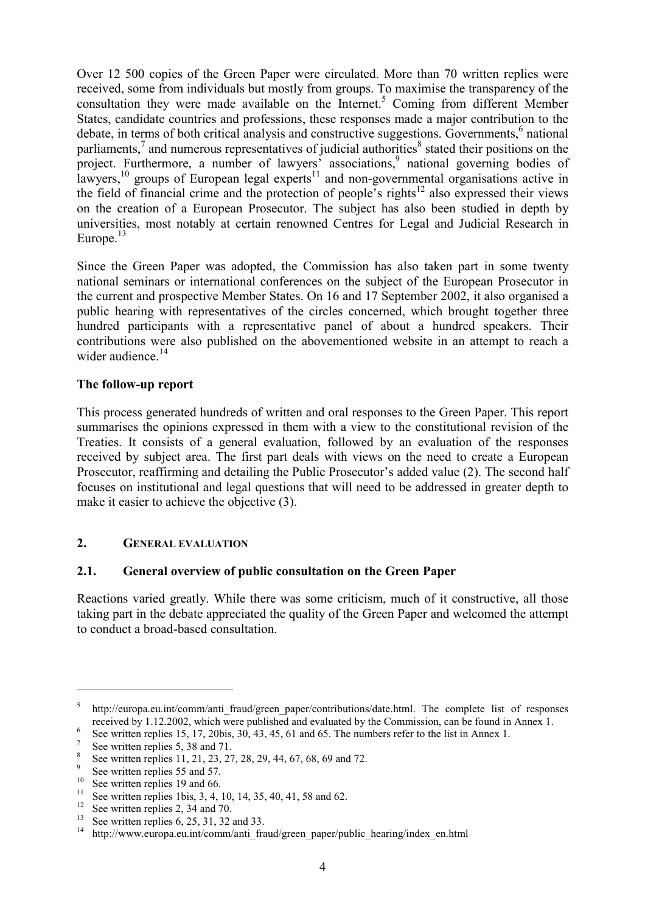Over 12 500 copies of the Green Paper were circulated. More than 70 written replies were received, some from individuals but mostly from groups. To maximise the transparency of the consultation they were made available on the Internet.<sup>5</sup> Coming from different Member States, candidate countries and professions, these responses made a major contribution to the debate, in terms of both critical analysis and constructive suggestions. Governments,<sup>6</sup> national parliaments, $\frac{7}{1}$  and numerous representatives of judicial authorities<sup>8</sup> stated their positions on the project. Furthermore, a number of lawyers' associations,<sup>9</sup> national governing bodies of lawyers,  $10$  groups of European legal experts  $11$  and non-governmental organisations active in the field of financial crime and the protection of people's rights<sup>12</sup> also expressed their views on the creation of a European Prosecutor. The subject has also been studied in depth by universities, most notably at certain renowned Centres for Legal and Judicial Research in Europe. $13$ 

Since the Green Paper was adopted, the Commission has also taken part in some twenty national seminars or international conferences on the subject of the European Prosecutor in the current and prospective Member States. On 16 and 17 September 2002, it also organised a public hearing with representatives of the circles concerned, which brought together three hundred participants with a representative panel of about a hundred speakers. Their contributions were also published on the abovementioned website in an attempt to reach a wider audience  $14$ 

#### **The follow-up report**

This process generated hundreds of written and oral responses to the Green Paper. This report summarises the opinions expressed in them with a view to the constitutional revision of the Treaties. It consists of a general evaluation, followed by an evaluation of the responses received by subject area. The first part deals with views on the need to create a European Prosecutor, reaffirming and detailing the Public Prosecutor's added value (2). The second half focuses on institutional and legal questions that will need to be addressed in greater depth to make it easier to achieve the objective (3).

#### **2. GENERAL EVALUATION**

#### **2.1. General overview of public consultation on the Green Paper**

Reactions varied greatly. While there was some criticism, much of it constructive, all those taking part in the debate appreciated the quality of the Green Paper and welcomed the attempt to conduct a broad-based consultation.

<sup>&</sup>lt;sup>5</sup> http://europa.eu.int/comm/anti\_fraud/green\_paper/contributions/date.html. The complete list of responses received by 1.12.2002, which were published and evaluated by the Commission, can be found in Annex 1.<br>
<sup>6</sup> See written replies 15, 17, 20bis, 30, 43, 45, 61 and 65. The numbers refer to the list in Annex 1.<br>
<sup>7</sup> See writt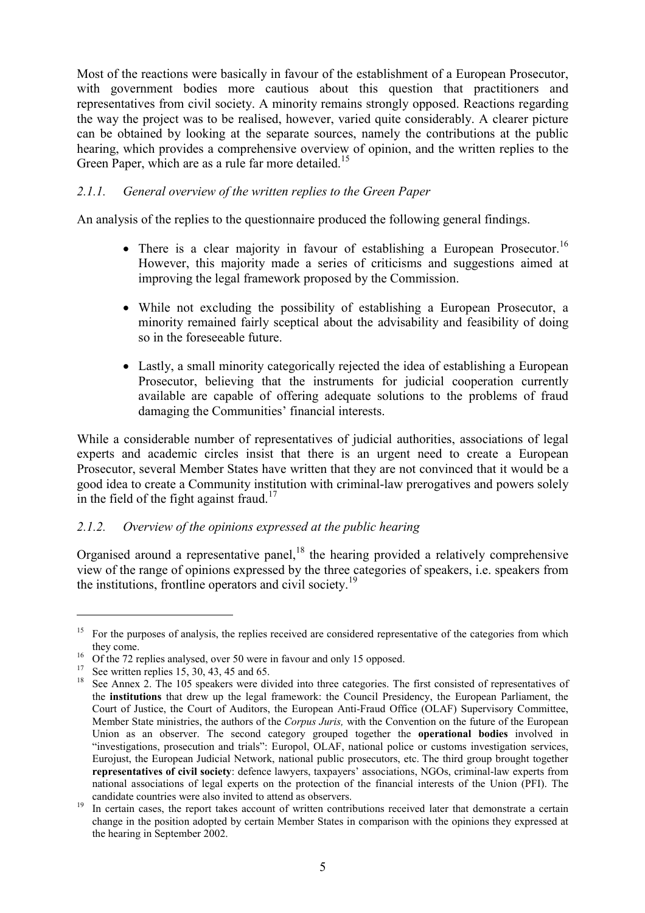Most of the reactions were basically in favour of the establishment of a European Prosecutor, with government bodies more cautious about this question that practitioners and representatives from civil society. A minority remains strongly opposed. Reactions regarding the way the project was to be realised, however, varied quite considerably. A clearer picture can be obtained by looking at the separate sources, namely the contributions at the public hearing, which provides a comprehensive overview of opinion, and the written replies to the Green Paper, which are as a rule far more detailed.<sup>15</sup>

### *2.1.1. General overview of the written replies to the Green Paper*

An analysis of the replies to the questionnaire produced the following general findings.

- There is a clear majority in favour of establishing a European Prosecutor.<sup>16</sup> However, this majority made a series of criticisms and suggestions aimed at improving the legal framework proposed by the Commission.
- While not excluding the possibility of establishing a European Prosecutor, a minority remained fairly sceptical about the advisability and feasibility of doing so in the foreseeable future.
- Lastly, a small minority categorically rejected the idea of establishing a European Prosecutor, believing that the instruments for judicial cooperation currently available are capable of offering adequate solutions to the problems of fraud damaging the Communities' financial interests.

While a considerable number of representatives of judicial authorities, associations of legal experts and academic circles insist that there is an urgent need to create a European Prosecutor, several Member States have written that they are not convinced that it would be a good idea to create a Community institution with criminal-law prerogatives and powers solely in the field of the fight against fraud.<sup>17</sup>

#### *2.1.2. Overview of the opinions expressed at the public hearing*

Organised around a representative panel, $18$  the hearing provided a relatively comprehensive view of the range of opinions expressed by the three categories of speakers, i.e. speakers from the institutions, frontline operators and civil society.<sup>19</sup>

<sup>&</sup>lt;sup>15</sup> For the purposes of analysis, the replies received are considered representative of the categories from which

they come.<br>
<sup>16</sup> Of the 72 replies analysed, over 50 were in favour and only 15 opposed.<br>
<sup>17</sup> See written replies 15, 30, 43, 45 and 65.<br>
<sup>18</sup> See Annex 2. The 105 speakers were divided into three categories. The first c the **institutions** that drew up the legal framework: the Council Presidency, the European Parliament, the Court of Justice, the Court of Auditors, the European Anti-Fraud Office (OLAF) Supervisory Committee, Member State ministries, the authors of the *Corpus Juris,* with the Convention on the future of the European Union as an observer. The second category grouped together the **operational bodies** involved in "investigations, prosecution and trials": Europol, OLAF, national police or customs investigation services, Eurojust, the European Judicial Network, national public prosecutors, etc. The third group brought together **representatives of civil society**: defence lawyers, taxpayers' associations, NGOs, criminal-law experts from national associations of legal experts on the protection of the financial interests of the Union (PFI). The

candidate countries were also invited to attend as observers. <sup>19</sup> In certain cases, the report takes account of written contributions received later that demonstrate a certain change in the position adopted by certain Member States in comparison with the opinions they expressed at the hearing in September 2002.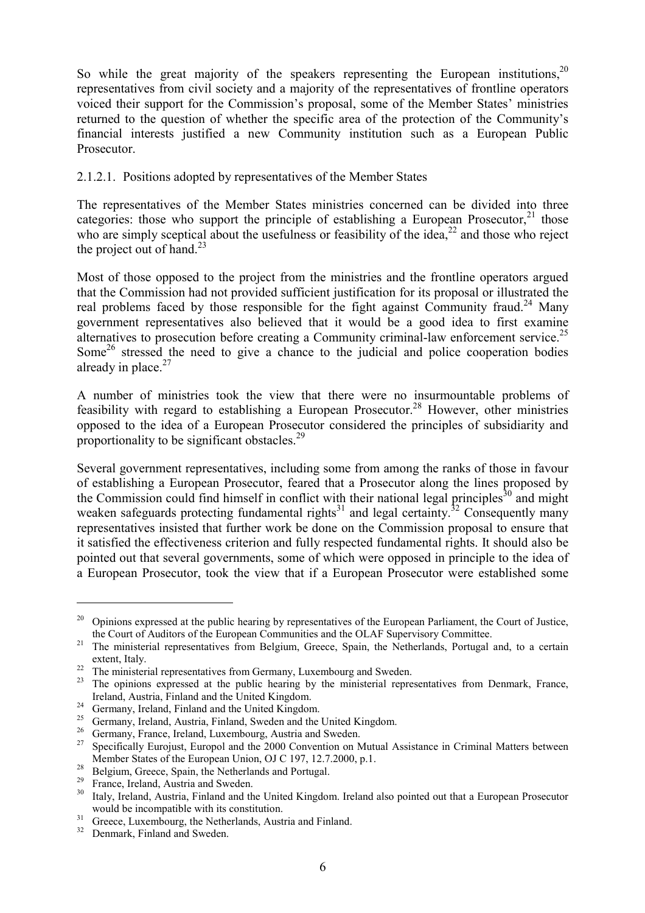So while the great majority of the speakers representing the European institutions,  $2^0$ representatives from civil society and a majority of the representatives of frontline operators voiced their support for the Commission's proposal, some of the Member States' ministries returned to the question of whether the specific area of the protection of the Community's financial interests justified a new Community institution such as a European Public Prosecutor.

#### 2.1.2.1. Positions adopted by representatives of the Member States

The representatives of the Member States ministries concerned can be divided into three categories: those who support the principle of establishing a European Prosecutor,  $2^1$  those who are simply sceptical about the usefulness or feasibility of the idea.<sup>22</sup> and those who reject the project out of hand. $^{23}$ 

Most of those opposed to the project from the ministries and the frontline operators argued that the Commission had not provided sufficient justification for its proposal or illustrated the real problems faced by those responsible for the fight against Community fraud.<sup>24</sup> Many government representatives also believed that it would be a good idea to first examine alternatives to prosecution before creating a Community criminal-law enforcement service.<sup>25</sup> Some<sup>26</sup> stressed the need to give a chance to the judicial and police cooperation bodies already in place. $27$ 

A number of ministries took the view that there were no insurmountable problems of feasibility with regard to establishing a European Prosecutor.<sup>28</sup> However, other ministries opposed to the idea of a European Prosecutor considered the principles of subsidiarity and proportionality to be significant obstacles.<sup>29</sup>

Several government representatives, including some from among the ranks of those in favour of establishing a European Prosecutor, feared that a Prosecutor along the lines proposed by the Commission could find himself in conflict with their national legal principles<sup>30</sup> and might weaken safeguards protecting fundamental rights<sup>31</sup> and legal certainty.<sup>32</sup> Consequently many representatives insisted that further work be done on the Commission proposal to ensure that it satisfied the effectiveness criterion and fully respected fundamental rights. It should also be pointed out that several governments, some of which were opposed in principle to the idea of a European Prosecutor, took the view that if a European Prosecutor were established some

<sup>&</sup>lt;sup>20</sup> Opinions expressed at the public hearing by representatives of the European Parliament, the Court of Justice, the Court of Auditors of the European Communities and the OLAF Supervisory Committee.

<sup>&</sup>lt;sup>21</sup> The ministerial representatives from Belgium, Greece, Spain, the Netherlands, Portugal and, to a certain extent, Italy.<br><sup>22</sup> The ministerial representatives from Germany, Luxembourg and Sweden.<br><sup>23</sup> The opinions expressed at the public hearing by the ministerial representatives from Denmark, France,

Ireland, Austria, Finland and the United Kingdom.<br>
<sup>24</sup> Germany, Ireland, Finland and the United Kingdom.<br>
<sup>25</sup> Germany, Ireland, Austria, Finland, Sweden and the United Kingdom.<br>
<sup>25</sup> Germany, France, Ireland, Luxembourg,

Member States of the European Union, OJ C 197, 12.7.2000, p.1.<br><sup>28</sup> Belgium, Greece, Spain, the Netherlands and Portugal.<br><sup>29</sup> France, Ireland, Austria and Sweden.<br><sup>30</sup> Italy, Ireland, Austria, Finland and the United Kingd

would be incompatible with its constitution.<br><sup>31</sup> Greece, Luxembourg, the Netherlands, Austria and Finland.<br><sup>32</sup> Denmark, Finland and Sweden.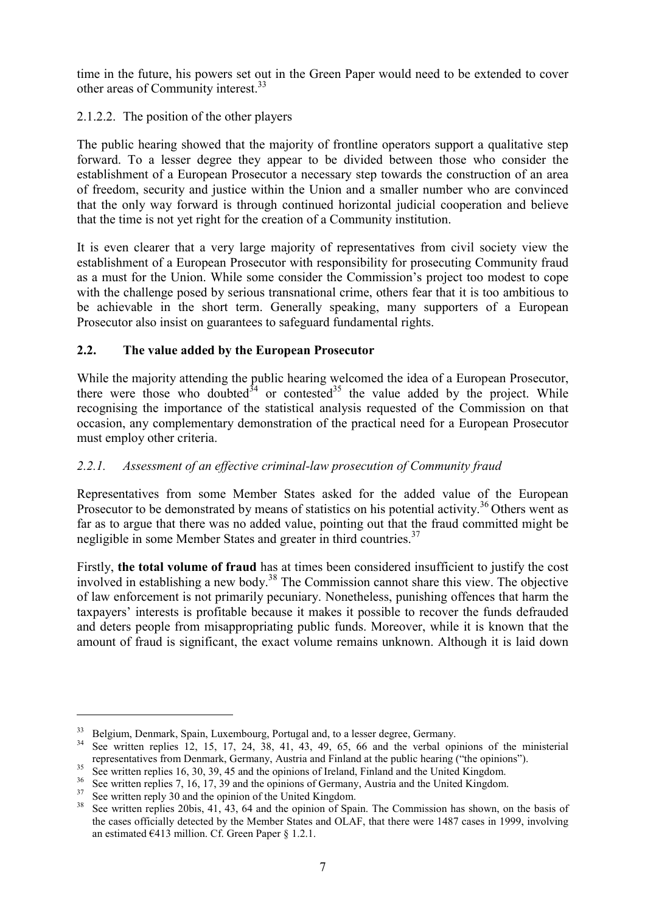time in the future, his powers set out in the Green Paper would need to be extended to cover other areas of Community interest.<sup>33</sup>

## 2.1.2.2. The position of the other players

The public hearing showed that the majority of frontline operators support a qualitative step forward. To a lesser degree they appear to be divided between those who consider the establishment of a European Prosecutor a necessary step towards the construction of an area of freedom, security and justice within the Union and a smaller number who are convinced that the only way forward is through continued horizontal judicial cooperation and believe that the time is not yet right for the creation of a Community institution.

It is even clearer that a very large majority of representatives from civil society view the establishment of a European Prosecutor with responsibility for prosecuting Community fraud as a must for the Union. While some consider the Commission's project too modest to cope with the challenge posed by serious transnational crime, others fear that it is too ambitious to be achievable in the short term. Generally speaking, many supporters of a European Prosecutor also insist on guarantees to safeguard fundamental rights.

## **2.2. The value added by the European Prosecutor**

While the majority attending the public hearing welcomed the idea of a European Prosecutor, there were those who doubted $34$  or contested $35$  the value added by the project. While recognising the importance of the statistical analysis requested of the Commission on that occasion, any complementary demonstration of the practical need for a European Prosecutor must employ other criteria.

# *2.2.1. Assessment of an effective criminal-law prosecution of Community fraud*

Representatives from some Member States asked for the added value of the European Prosecutor to be demonstrated by means of statistics on his potential activity.<sup>36</sup> Others went as far as to argue that there was no added value, pointing out that the fraud committed might be negligible in some Member States and greater in third countries.<sup>37</sup>

Firstly, **the total volume of fraud** has at times been considered insufficient to justify the cost involved in establishing a new body.<sup>38</sup> The Commission cannot share this view. The objective of law enforcement is not primarily pecuniary. Nonetheless, punishing offences that harm the taxpayers' interests is profitable because it makes it possible to recover the funds defrauded and deters people from misappropriating public funds. Moreover, while it is known that the amount of fraud is significant, the exact volume remains unknown. Although it is laid down

<sup>&</sup>lt;sup>33</sup> Belgium, Denmark, Spain, Luxembourg, Portugal and, to a lesser degree, Germany.<br><sup>34</sup> See written replies 12, 15, 17, 24, 38, 41, 43, 49, 65, 66 and the verbal opinions of the ministerial representatives from Denmark, Germany, Austria and Finland at the public hearing ("the opinions").<br>
See written replies 16, 30, 39, 45 and the opinions of Ireland, Finland and the United Kingdom.<br>
See written replies 7, 1

the cases officially detected by the Member States and OLAF, that there were 1487 cases in 1999, involving an estimated  $\epsilon$ 413 million. Cf. Green Paper § 1.2.1.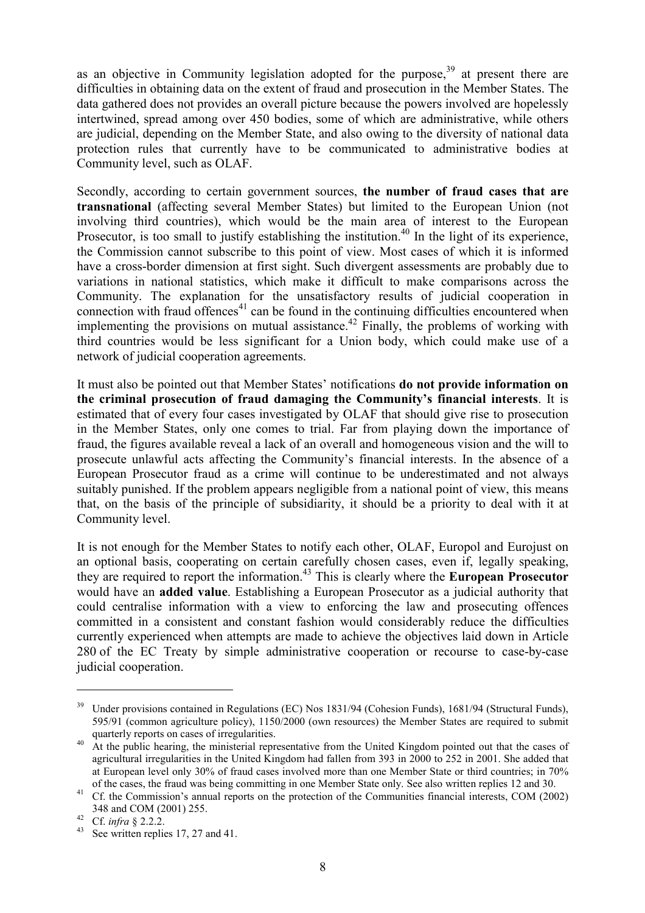as an objective in Community legislation adopted for the purpose,  $39$  at present there are difficulties in obtaining data on the extent of fraud and prosecution in the Member States. The data gathered does not provides an overall picture because the powers involved are hopelessly intertwined, spread among over 450 bodies, some of which are administrative, while others are judicial, depending on the Member State, and also owing to the diversity of national data protection rules that currently have to be communicated to administrative bodies at Community level, such as OLAF.

Secondly, according to certain government sources, **the number of fraud cases that are transnational** (affecting several Member States) but limited to the European Union (not involving third countries), which would be the main area of interest to the European Prosecutor, is too small to justify establishing the institution.<sup>40</sup> In the light of its experience, the Commission cannot subscribe to this point of view. Most cases of which it is informed have a cross-border dimension at first sight. Such divergent assessments are probably due to variations in national statistics, which make it difficult to make comparisons across the Community. The explanation for the unsatisfactory results of judicial cooperation in connection with fraud offences $41$  can be found in the continuing difficulties encountered when implementing the provisions on mutual assistance.<sup>42</sup> Finally, the problems of working with third countries would be less significant for a Union body, which could make use of a network of judicial cooperation agreements.

It must also be pointed out that Member States' notifications **do not provide information on the criminal prosecution of fraud damaging the Community's financial interests**. It is estimated that of every four cases investigated by OLAF that should give rise to prosecution in the Member States, only one comes to trial. Far from playing down the importance of fraud, the figures available reveal a lack of an overall and homogeneous vision and the will to prosecute unlawful acts affecting the Community's financial interests. In the absence of a European Prosecutor fraud as a crime will continue to be underestimated and not always suitably punished. If the problem appears negligible from a national point of view, this means that, on the basis of the principle of subsidiarity, it should be a priority to deal with it at Community level.

It is not enough for the Member States to notify each other, OLAF, Europol and Eurojust on an optional basis, cooperating on certain carefully chosen cases, even if, legally speaking, they are required to report the information.43 This is clearly where the **European Prosecutor** would have an **added value**. Establishing a European Prosecutor as a judicial authority that could centralise information with a view to enforcing the law and prosecuting offences committed in a consistent and constant fashion would considerably reduce the difficulties currently experienced when attempts are made to achieve the objectives laid down in Article 280 of the EC Treaty by simple administrative cooperation or recourse to case-by-case judicial cooperation.

<sup>&</sup>lt;sup>39</sup> Under provisions contained in Regulations (EC) Nos 1831/94 (Cohesion Funds), 1681/94 (Structural Funds), 595/91 (common agriculture policy), 1150/2000 (own resources) the Member States are required to submit quarterly reports on cases of irregularities.<br><sup>40</sup> At the public hearing, the ministerial representative from the United Kingdom pointed out that the cases of

agricultural irregularities in the United Kingdom had fallen from 393 in 2000 to 252 in 2001. She added that at European level only 30% of fraud cases involved more than one Member State or third countries; in 70%

of the cases, the fraud was being committing in one Member State only. See also written replies 12 and 30. <sup>41</sup> Cf. the Commission's annual reports on the protection of the Communities financial interests, COM (2002) 348 and COM (2001) 255.<br><sup>42</sup> Cf. *infra* § 2.2.2.<br><sup>43</sup> See written replies 17, 27 and 41.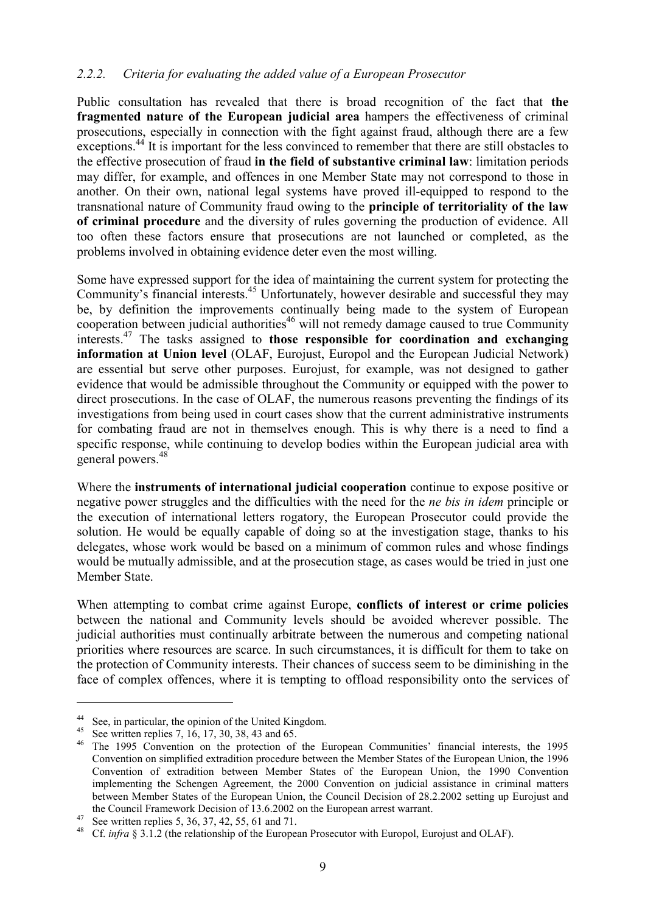#### *2.2.2. Criteria for evaluating the added value of a European Prosecutor*

Public consultation has revealed that there is broad recognition of the fact that **the fragmented nature of the European judicial area** hampers the effectiveness of criminal prosecutions, especially in connection with the fight against fraud, although there are a few exceptions.<sup>44</sup> It is important for the less convinced to remember that there are still obstacles to the effective prosecution of fraud **in the field of substantive criminal law**: limitation periods may differ, for example, and offences in one Member State may not correspond to those in another. On their own, national legal systems have proved ill-equipped to respond to the transnational nature of Community fraud owing to the **principle of territoriality of the law of criminal procedure** and the diversity of rules governing the production of evidence. All too often these factors ensure that prosecutions are not launched or completed, as the problems involved in obtaining evidence deter even the most willing.

Some have expressed support for the idea of maintaining the current system for protecting the Community's financial interests.45 Unfortunately, however desirable and successful they may be, by definition the improvements continually being made to the system of European cooperation between judicial authorities<sup>46</sup> will not remedy damage caused to true Community interests.47 The tasks assigned to **those responsible for coordination and exchanging information at Union level** (OLAF, Eurojust, Europol and the European Judicial Network) are essential but serve other purposes. Eurojust, for example, was not designed to gather evidence that would be admissible throughout the Community or equipped with the power to direct prosecutions. In the case of OLAF, the numerous reasons preventing the findings of its investigations from being used in court cases show that the current administrative instruments for combating fraud are not in themselves enough. This is why there is a need to find a specific response, while continuing to develop bodies within the European judicial area with general powers.<sup>48</sup>

Where the **instruments of international judicial cooperation** continue to expose positive or negative power struggles and the difficulties with the need for the *ne bis in idem* principle or the execution of international letters rogatory, the European Prosecutor could provide the solution. He would be equally capable of doing so at the investigation stage, thanks to his delegates, whose work would be based on a minimum of common rules and whose findings would be mutually admissible, and at the prosecution stage, as cases would be tried in just one Member State.

When attempting to combat crime against Europe, **conflicts of interest or crime policies** between the national and Community levels should be avoided wherever possible. The judicial authorities must continually arbitrate between the numerous and competing national priorities where resources are scarce. In such circumstances, it is difficult for them to take on the protection of Community interests. Their chances of success seem to be diminishing in the face of complex offences, where it is tempting to offload responsibility onto the services of

<sup>&</sup>lt;sup>44</sup> See, in particular, the opinion of the United Kingdom.<br><sup>45</sup> See written replies 7, 16, 17, 30, 38, 43 and 65.<br><sup>46</sup> The 1995 Convention on the protection of the European Communities' financial interests, the 1995 Convention on simplified extradition procedure between the Member States of the European Union, the 1996 Convention of extradition between Member States of the European Union, the 1990 Convention implementing the Schengen Agreement, the 2000 Convention on judicial assistance in criminal matters between Member States of the European Union, the Council Decision of 28.2.2002 setting up Eurojust and

the Council Framework Decision of 13.6.2002 on the European arrest warrant.<br>
<sup>47</sup> See written replies 5, 36, 37, 42, 55, 61 and 71.<br>
<sup>48</sup> Cf. *infra* § 3.1.2 (the relationship of the European Prosecutor with Europol, Euro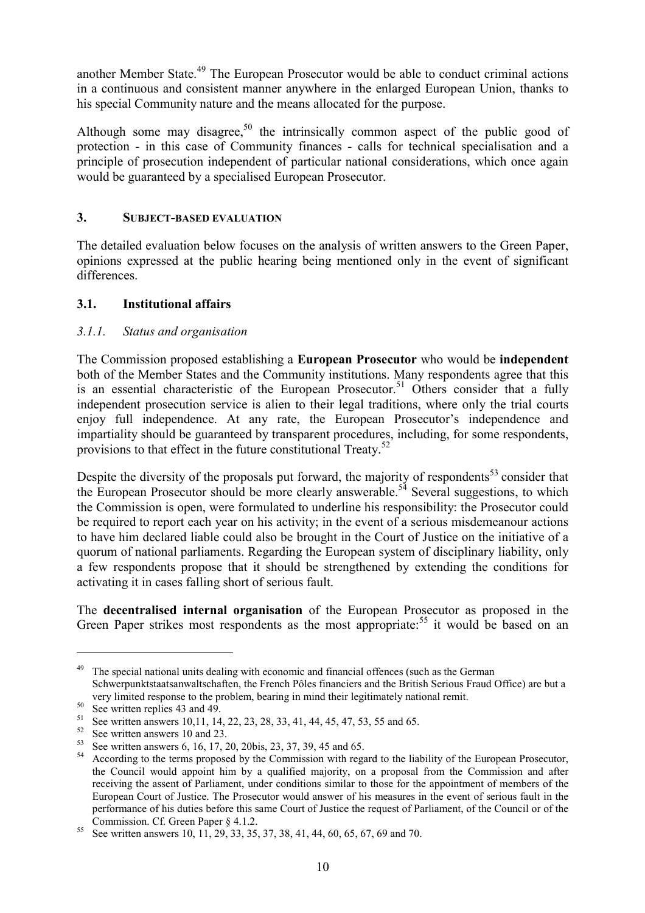another Member State.<sup>49</sup> The European Prosecutor would be able to conduct criminal actions in a continuous and consistent manner anywhere in the enlarged European Union, thanks to his special Community nature and the means allocated for the purpose.

Although some may disagree,<sup>50</sup> the intrinsically common aspect of the public good of protection - in this case of Community finances - calls for technical specialisation and a principle of prosecution independent of particular national considerations, which once again would be guaranteed by a specialised European Prosecutor.

#### **3. SUBJECT-BASED EVALUATION**

The detailed evaluation below focuses on the analysis of written answers to the Green Paper, opinions expressed at the public hearing being mentioned only in the event of significant differences.

## **3.1. Institutional affairs**

# *3.1.1. Status and organisation*

The Commission proposed establishing a **European Prosecutor** who would be **independent** both of the Member States and the Community institutions. Many respondents agree that this is an essential characteristic of the European Prosecutor.<sup>51</sup> Others consider that a fully independent prosecution service is alien to their legal traditions, where only the trial courts enjoy full independence. At any rate, the European Prosecutor's independence and impartiality should be guaranteed by transparent procedures, including, for some respondents, provisions to that effect in the future constitutional Treaty.<sup>52</sup>

Despite the diversity of the proposals put forward, the majority of respondents<sup>53</sup> consider that the European Prosecutor should be more clearly answerable.<sup>54</sup> Several suggestions, to which the Commission is open, were formulated to underline his responsibility: the Prosecutor could be required to report each year on his activity; in the event of a serious misdemeanour actions to have him declared liable could also be brought in the Court of Justice on the initiative of a quorum of national parliaments. Regarding the European system of disciplinary liability, only a few respondents propose that it should be strengthened by extending the conditions for activating it in cases falling short of serious fault.

The **decentralised internal organisation** of the European Prosecutor as proposed in the Green Paper strikes most respondents as the most appropriate:<sup>55</sup> it would be based on an

 $49$  The special national units dealing with economic and financial offences (such as the German Schwerpunktstaatsanwaltschaften, the French Pôles financiers and the British Serious Fraud Office) are but a

very limited response to the problem, bearing in mind their legitimately national remit.<br>
<sup>50</sup> See written replies 43 and 49.<br>
<sup>51</sup> See written answers 10,11, 14, 22, 23, 28, 33, 41, 44, 45, 47, 53, 55 and 65.<br>
<sup>52</sup> See w the Council would appoint him by a qualified majority, on a proposal from the Commission and after receiving the assent of Parliament, under conditions similar to those for the appointment of members of the European Court of Justice. The Prosecutor would answer of his measures in the event of serious fault in the performance of his duties before this same Court of Justice the request of Parliament, of the Council or of the Commission. Cf. Green Paper § 4.1.2.<br><sup>55</sup> See written answers 10, 11, 29, 33, 35, 37, 38, 41, 44, 60, 65, 67, 69 and 70.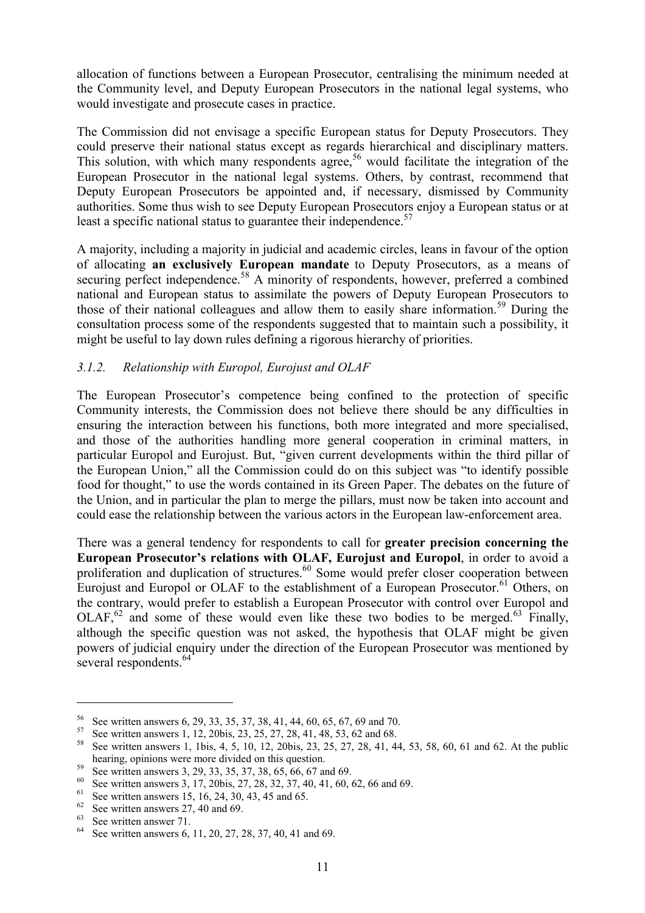allocation of functions between a European Prosecutor, centralising the minimum needed at the Community level, and Deputy European Prosecutors in the national legal systems, who would investigate and prosecute cases in practice.

The Commission did not envisage a specific European status for Deputy Prosecutors. They could preserve their national status except as regards hierarchical and disciplinary matters. This solution, with which many respondents agree,<sup>56</sup> would facilitate the integration of the European Prosecutor in the national legal systems. Others, by contrast, recommend that Deputy European Prosecutors be appointed and, if necessary, dismissed by Community authorities. Some thus wish to see Deputy European Prosecutors enjoy a European status or at least a specific national status to guarantee their independence.<sup>57</sup>

A majority, including a majority in judicial and academic circles, leans in favour of the option of allocating **an exclusively European mandate** to Deputy Prosecutors, as a means of securing perfect independence.<sup>58</sup> A minority of respondents, however, preferred a combined national and European status to assimilate the powers of Deputy European Prosecutors to those of their national colleagues and allow them to easily share information.<sup>59</sup> During the consultation process some of the respondents suggested that to maintain such a possibility, it might be useful to lay down rules defining a rigorous hierarchy of priorities.

#### *3.1.2. Relationship with Europol, Eurojust and OLAF*

The European Prosecutor's competence being confined to the protection of specific Community interests, the Commission does not believe there should be any difficulties in ensuring the interaction between his functions, both more integrated and more specialised, and those of the authorities handling more general cooperation in criminal matters, in particular Europol and Eurojust. But, "given current developments within the third pillar of the European Union," all the Commission could do on this subject was "to identify possible food for thought," to use the words contained in its Green Paper. The debates on the future of the Union, and in particular the plan to merge the pillars, must now be taken into account and could ease the relationship between the various actors in the European law-enforcement area.

There was a general tendency for respondents to call for **greater precision concerning the European Prosecutor's relations with OLAF, Eurojust and Europol**, in order to avoid a proliferation and duplication of structures.<sup>60</sup> Some would prefer closer cooperation between Eurojust and Europol or OLAF to the establishment of a European Prosecutor.<sup>61</sup> Others, on the contrary, would prefer to establish a European Prosecutor with control over Europol and  $OLAF<sup>62</sup>$  and some of these would even like these two bodies to be merged.<sup>63</sup> Finally, although the specific question was not asked, the hypothesis that OLAF might be given powers of judicial enquiry under the direction of the European Prosecutor was mentioned by several respondents.<sup>64</sup>

<sup>&</sup>lt;sup>56</sup> See written answers 6, 29, 33, 35, 37, 38, 41, 44, 60, 65, 67, 69 and 70.<br><sup>57</sup> See written answers 1, 12, 20bis, 23, 25, 27, 28, 41, 48, 53, 62 and 68.<br><sup>58</sup> See written answers 1, 1bis, 4, 5, 10, 12, 20bis, 23, 25, 2 bearing, opinions were more divided on this question.<br>
<sup>59</sup> See written answers 3, 29, 33, 35, 37, 38, 65, 66, 67 and 69.<br>
<sup>60</sup> See written answers 3, 17, 20bis, 27, 28, 32, 37, 40, 41, 60, 62, 66 and 69.<br>
<sup>61</sup> See writte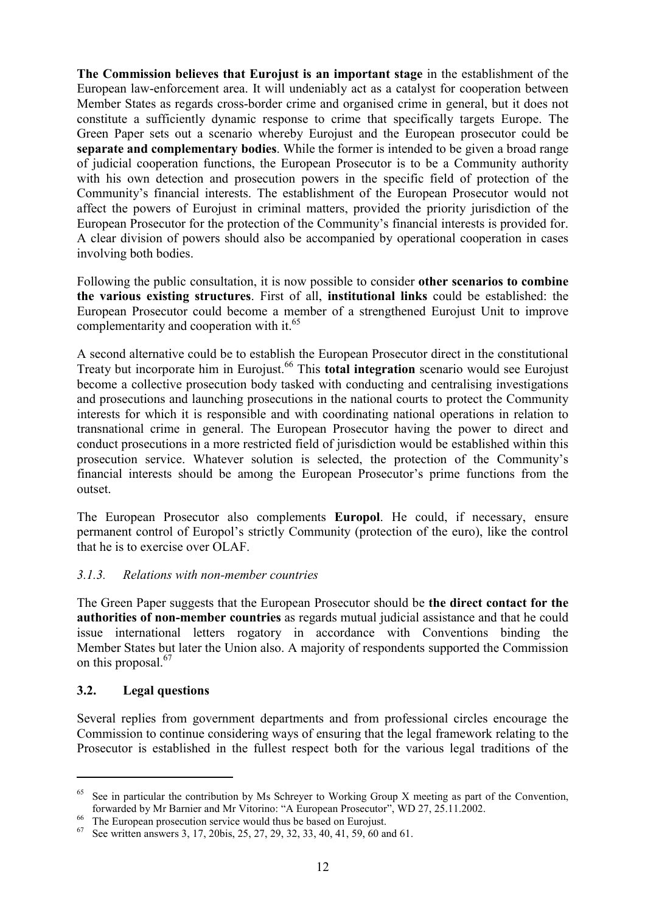**The Commission believes that Eurojust is an important stage** in the establishment of the European law-enforcement area. It will undeniably act as a catalyst for cooperation between Member States as regards cross-border crime and organised crime in general, but it does not constitute a sufficiently dynamic response to crime that specifically targets Europe. The Green Paper sets out a scenario whereby Eurojust and the European prosecutor could be **separate and complementary bodies**. While the former is intended to be given a broad range of judicial cooperation functions, the European Prosecutor is to be a Community authority with his own detection and prosecution powers in the specific field of protection of the Community's financial interests. The establishment of the European Prosecutor would not affect the powers of Eurojust in criminal matters, provided the priority jurisdiction of the European Prosecutor for the protection of the Community's financial interests is provided for. A clear division of powers should also be accompanied by operational cooperation in cases involving both bodies.

Following the public consultation, it is now possible to consider **other scenarios to combine the various existing structures**. First of all, **institutional links** could be established: the European Prosecutor could become a member of a strengthened Eurojust Unit to improve complementarity and cooperation with it.<sup>65</sup>

A second alternative could be to establish the European Prosecutor direct in the constitutional Treaty but incorporate him in Eurojust.<sup>66</sup> This **total integration** scenario would see Eurojust become a collective prosecution body tasked with conducting and centralising investigations and prosecutions and launching prosecutions in the national courts to protect the Community interests for which it is responsible and with coordinating national operations in relation to transnational crime in general. The European Prosecutor having the power to direct and conduct prosecutions in a more restricted field of jurisdiction would be established within this prosecution service. Whatever solution is selected, the protection of the Community's financial interests should be among the European Prosecutor's prime functions from the outset.

The European Prosecutor also complements **Europol**. He could, if necessary, ensure permanent control of Europol's strictly Community (protection of the euro), like the control that he is to exercise over OLAF.

#### *3.1.3. Relations with non-member countries*

The Green Paper suggests that the European Prosecutor should be **the direct contact for the authorities of non-member countries** as regards mutual judicial assistance and that he could issue international letters rogatory in accordance with Conventions binding the Member States but later the Union also. A majority of respondents supported the Commission on this proposal.<sup>67</sup>

#### **3.2. Legal questions**

 $\overline{a}$ 

Several replies from government departments and from professional circles encourage the Commission to continue considering ways of ensuring that the legal framework relating to the Prosecutor is established in the fullest respect both for the various legal traditions of the

<sup>&</sup>lt;sup>65</sup> See in particular the contribution by Ms Schreyer to Working Group X meeting as part of the Convention, forwarded by Mr Barnier and Mr Vitorino: "A European Prosecutor", WD 27, 25.11.2002.

<sup>&</sup>lt;sup>66</sup> The European prosecution service would thus be based on Eurojust.<br><sup>67</sup> See written answers 3, 17, 20bis, 25, 27, 29, 32, 33, 40, 41, 59, 60 and 61.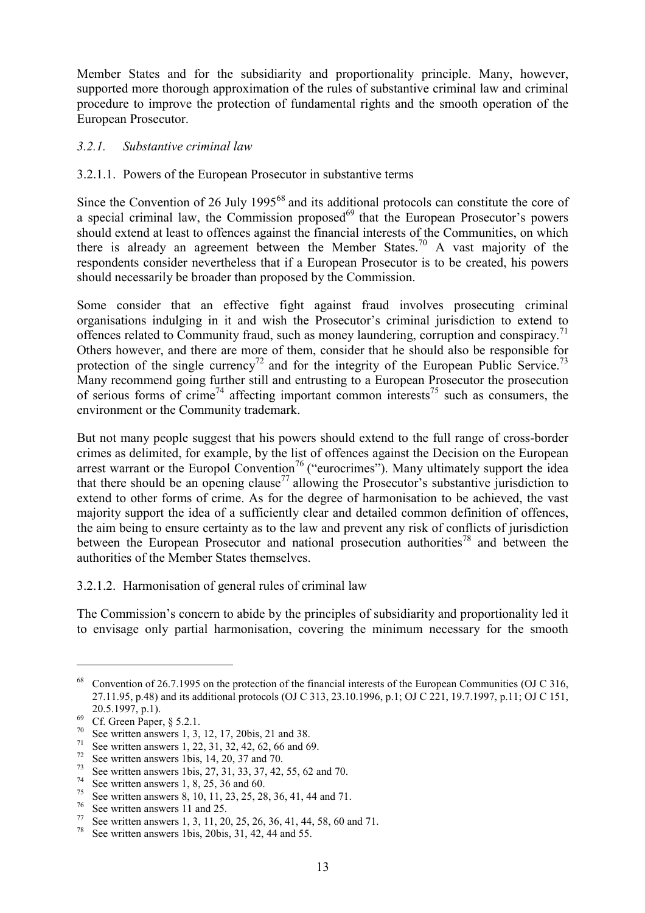Member States and for the subsidiarity and proportionality principle. Many, however, supported more thorough approximation of the rules of substantive criminal law and criminal procedure to improve the protection of fundamental rights and the smooth operation of the European Prosecutor.

#### *3.2.1. Substantive criminal law*

#### 3.2.1.1. Powers of the European Prosecutor in substantive terms

Since the Convention of 26 July 1995<sup>68</sup> and its additional protocols can constitute the core of a special criminal law, the Commission proposed $^{69}$  that the European Prosecutor's powers should extend at least to offences against the financial interests of the Communities, on which there is already an agreement between the Member States.<sup>70</sup> A vast majority of the respondents consider nevertheless that if a European Prosecutor is to be created, his powers should necessarily be broader than proposed by the Commission.

Some consider that an effective fight against fraud involves prosecuting criminal organisations indulging in it and wish the Prosecutor's criminal jurisdiction to extend to offences related to Community fraud, such as money laundering, corruption and conspiracy.<sup>71</sup> Others however, and there are more of them, consider that he should also be responsible for protection of the single currency<sup>72</sup> and for the integrity of the European Public Service.<sup>73</sup> Many recommend going further still and entrusting to a European Prosecutor the prosecution of serious forms of crime<sup>74</sup> affecting important common interests<sup>75</sup> such as consumers, the environment or the Community trademark.

But not many people suggest that his powers should extend to the full range of cross-border crimes as delimited, for example, by the list of offences against the Decision on the European arrest warrant or the Europol Convention<sup>76</sup> ("eurocrimes"). Many ultimately support the idea that there should be an opening clause<sup>77</sup> allowing the Prosecutor's substantive jurisdiction to extend to other forms of crime. As for the degree of harmonisation to be achieved, the vast majority support the idea of a sufficiently clear and detailed common definition of offences, the aim being to ensure certainty as to the law and prevent any risk of conflicts of jurisdiction between the European Prosecutor and national prosecution authorities<sup>78</sup> and between the authorities of the Member States themselves.

3.2.1.2. Harmonisation of general rules of criminal law

The Commission's concern to abide by the principles of subsidiarity and proportionality led it to envisage only partial harmonisation, covering the minimum necessary for the smooth

<sup>68</sup> Convention of 26.7.1995 on the protection of the financial interests of the European Communities (OJ C 316, 27.11.95, p.48) and its additional protocols (OJ C 313, 23.10.1996, p.1; OJ C 221, 19.7.1997, p.11; OJ C 151, 20.5.1997, p.1).<br>
69 Cf. Green Paper, § 5.2.1.<br>
70 See written answers 1, 3, 12, 17, 20bis, 21 and 38.<br>
71 See written answers 1, 22, 31, 32, 42, 62, 66 and 69.<br>
72 See written answers 1bis, 14, 20, 37 and 70.<br>
73 See wri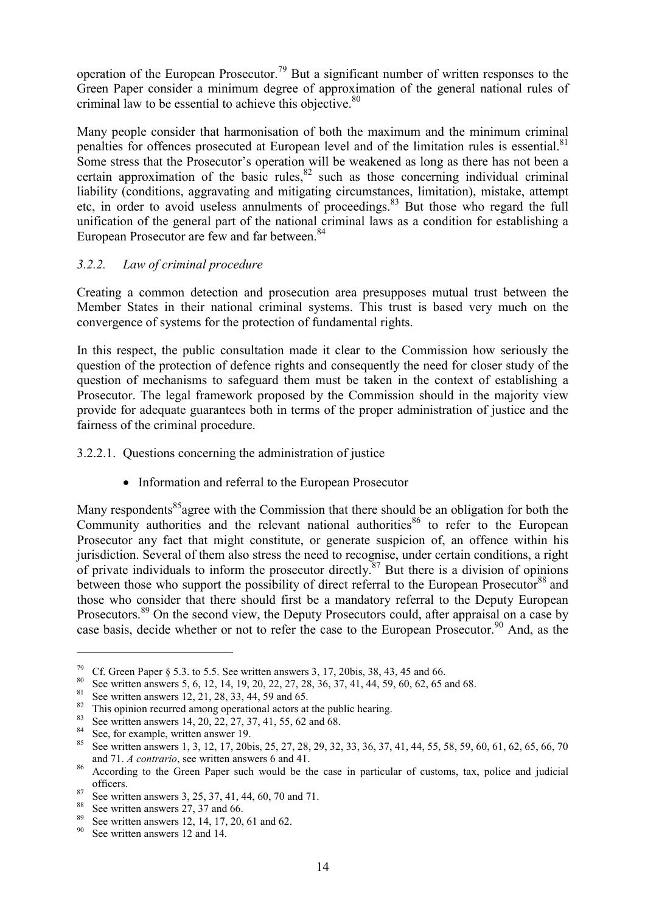operation of the European Prosecutor.79 But a significant number of written responses to the Green Paper consider a minimum degree of approximation of the general national rules of criminal law to be essential to achieve this objective.<sup>80</sup>

Many people consider that harmonisation of both the maximum and the minimum criminal penalties for offences prosecuted at European level and of the limitation rules is essential.<sup>81</sup> Some stress that the Prosecutor's operation will be weakened as long as there has not been a certain approximation of the basic rules, $82$  such as those concerning individual criminal liability (conditions, aggravating and mitigating circumstances, limitation), mistake, attempt etc, in order to avoid useless annulments of proceedings.<sup>83</sup> But those who regard the full unification of the general part of the national criminal laws as a condition for establishing a European Prosecutor are few and far between.<sup>84</sup>

#### *3.2.2. Law of criminal procedure*

Creating a common detection and prosecution area presupposes mutual trust between the Member States in their national criminal systems. This trust is based very much on the convergence of systems for the protection of fundamental rights.

In this respect, the public consultation made it clear to the Commission how seriously the question of the protection of defence rights and consequently the need for closer study of the question of mechanisms to safeguard them must be taken in the context of establishing a Prosecutor. The legal framework proposed by the Commission should in the majority view provide for adequate guarantees both in terms of the proper administration of justice and the fairness of the criminal procedure.

#### 3.2.2.1. Questions concerning the administration of justice

• Information and referral to the European Prosecutor

Many respondents<sup>85</sup> agree with the Commission that there should be an obligation for both the Community authorities and the relevant national authorities  $86$  to refer to the European Prosecutor any fact that might constitute, or generate suspicion of, an offence within his jurisdiction. Several of them also stress the need to recognise, under certain conditions, a right of private individuals to inform the prosecutor directly.<sup>87</sup> But there is a division of opinions between those who support the possibility of direct referral to the European Prosecutor<sup>88</sup> and those who consider that there should first be a mandatory referral to the Deputy European Prosecutors.<sup>89</sup> On the second view, the Deputy Prosecutors could, after appraisal on a case by case basis, decide whether or not to refer the case to the European Prosecutor.<sup>90</sup> And, as the

<sup>&</sup>lt;sup>79</sup> Cf. Green Paper § 5.3. to 5.5. See written answers 3, 17, 20bis, 38, 43, 45 and 66.<br><sup>80</sup> See written answers 5, 6, 12, 14, 19, 20, 22, 27, 28, 36, 37, 41, 44, 59, 60, 62, 65 and 68.<br><sup>81</sup> See written answers 12, 21, 2 and 71. *A contrario*, see written answers 6 and 41.<br><sup>86</sup> According to the Green Paper such would be the case in particular of customs, tax, police and judicial

<sup>%</sup> See written answers 3, 25, 37, 41, 44, 60, 70 and 71.<br>  $^{88}$  See written answers 27, 37 and 66.<br>  $^{89}$  See written answers 12, 14, 17, 20, 61 and 62.<br>  $^{90}$  See written answers 12 and 14.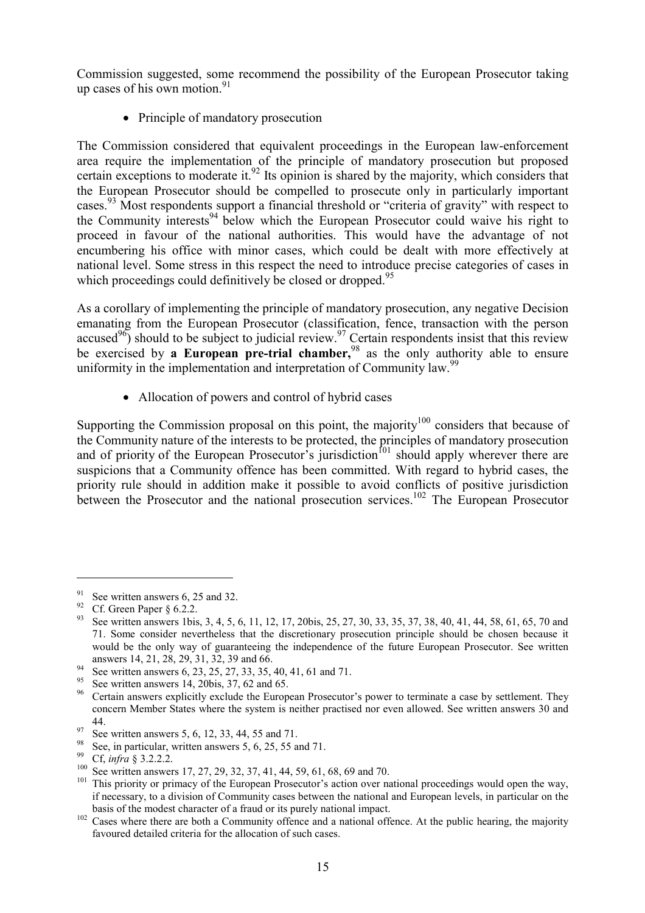Commission suggested, some recommend the possibility of the European Prosecutor taking up cases of his own motion. $91$ 

• Principle of mandatory prosecution

The Commission considered that equivalent proceedings in the European law-enforcement area require the implementation of the principle of mandatory prosecution but proposed certain exceptions to moderate it.<sup>92</sup> Its opinion is shared by the majority, which considers that the European Prosecutor should be compelled to prosecute only in particularly important cases.<sup>93</sup> Most respondents support a financial threshold or "criteria of gravity" with respect to the Community interests<sup>94</sup> below which the European Prosecutor could waive his right to proceed in favour of the national authorities. This would have the advantage of not encumbering his office with minor cases, which could be dealt with more effectively at national level. Some stress in this respect the need to introduce precise categories of cases in which proceedings could definitively be closed or dropped.<sup>95</sup>

As a corollary of implementing the principle of mandatory prosecution, any negative Decision emanating from the European Prosecutor (classification, fence, transaction with the person accused<sup>96</sup>) should to be subject to judicial review.<sup>97</sup> Certain respondents insist that this review be exercised by **a European pre-trial chamber,**98 as the only authority able to ensure uniformity in the implementation and interpretation of Community law.<sup>99</sup>

• Allocation of powers and control of hybrid cases

Supporting the Commission proposal on this point, the majority<sup>100</sup> considers that because of the Community nature of the interests to be protected, the principles of mandatory prosecution and of priority of the European Prosecutor's jurisdiction<sup> $101$ </sup> should apply wherever there are suspicions that a Community offence has been committed. With regard to hybrid cases, the priority rule should in addition make it possible to avoid conflicts of positive jurisdiction between the Prosecutor and the national prosecution services.<sup>102</sup> The European Prosecutor

<sup>&</sup>lt;sup>91</sup> See written answers 6, 25 and 32.<br><sup>92</sup> Cf. Green Paper § 6.2.2.<br><sup>93</sup> See written answers 1bis, 3, 4, 5, 6, 11, 12, 17, 20bis, 25, 27, 30, 33, 35, 37, 38, 40, 41, 44, 58, 61, 65, 70 and 71. Some consider nevertheless that the discretionary prosecution principle should be chosen because it would be the only way of guaranteeing the independence of the future European Prosecutor. See written answers 14, 21, 28, 29, 31, 32, 39 and 66.

See written answers 6, 23, 25, 27, 33, 35, 40, 41, 61 and 71.<br>
See written answers 6, 23, 25, 27, 33, 35, 40, 41, 61 and 71.<br>
See written answers 14, 20bis, 37, 62 and 65.<br>
Certain answers explicitly exclude the European concern Member States where the system is neither practised nor even allowed. See written answers 30 and

<sup>44.&</sup>lt;br>
97 See written answers 5, 6, 12, 33, 44, 55 and 71.<br>
98 See, in particular, written answers 5, 6, 25, 55 and 71.<br>
99 Cf, *infra* § 3.2.2.2.<br>
<sup>99</sup> Cf, *infra* § 3.2.2.2.<br>
<sup>100</sup> See written answers 17, 27, 29, 32, 37, if necessary, to a division of Community cases between the national and European levels, in particular on the

basis of the modest character of a fraud or its purely national impact.<br><sup>102</sup> Cases where there are both a Community offence and a national offence. At the public hearing, the majority favoured detailed criteria for the allocation of such cases.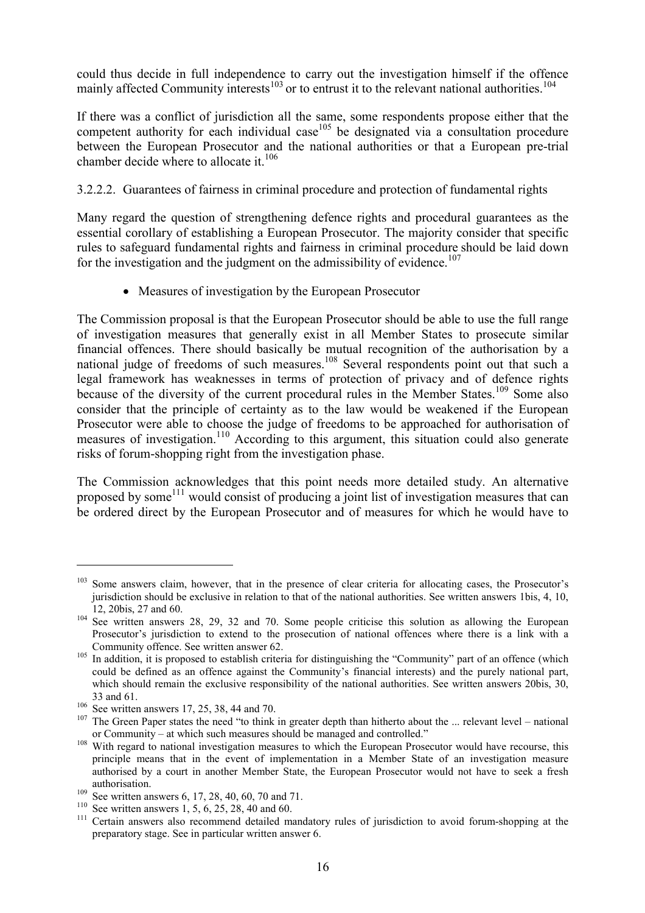could thus decide in full independence to carry out the investigation himself if the offence mainly affected Community interests<sup>103</sup> or to entrust it to the relevant national authorities.<sup>104</sup>

If there was a conflict of jurisdiction all the same, some respondents propose either that the competent authority for each individual case  $^{105}$  be designated via a consultation procedure between the European Prosecutor and the national authorities or that a European pre-trial chamber decide where to allocate it.<sup>106</sup>

### 3.2.2.2. Guarantees of fairness in criminal procedure and protection of fundamental rights

Many regard the question of strengthening defence rights and procedural guarantees as the essential corollary of establishing a European Prosecutor. The majority consider that specific rules to safeguard fundamental rights and fairness in criminal procedure should be laid down for the investigation and the judgment on the admissibility of evidence.<sup>107</sup>

• Measures of investigation by the European Prosecutor

The Commission proposal is that the European Prosecutor should be able to use the full range of investigation measures that generally exist in all Member States to prosecute similar financial offences. There should basically be mutual recognition of the authorisation by a national judge of freedoms of such measures.<sup>108</sup> Several respondents point out that such a legal framework has weaknesses in terms of protection of privacy and of defence rights because of the diversity of the current procedural rules in the Member States.<sup>109</sup> Some also consider that the principle of certainty as to the law would be weakened if the European Prosecutor were able to choose the judge of freedoms to be approached for authorisation of measures of investigation.<sup>110</sup> According to this argument, this situation could also generate risks of forum-shopping right from the investigation phase.

The Commission acknowledges that this point needs more detailed study. An alternative proposed by some<sup>111</sup> would consist of producing a joint list of investigation measures that can be ordered direct by the European Prosecutor and of measures for which he would have to

<sup>&</sup>lt;sup>103</sup> Some answers claim, however, that in the presence of clear criteria for allocating cases, the Prosecutor's jurisdiction should be exclusive in relation to that of the national authorities. See written answers 1bis, 4, 10,

<sup>12, 20</sup>bis, 27 and 60. <sup>104</sup> See written answers 28, 29, 32 and 70. Some people criticise this solution as allowing the European Prosecutor's jurisdiction to extend to the prosecution of national offences where there is a link with a Community offence. See written answer 62.<br><sup>105</sup> In addition, it is proposed to establish criteria for distinguishing the "Community" part of an offence (which

could be defined as an offence against the Community's financial interests) and the purely national part, which should remain the exclusive responsibility of the national authorities. See written answers 20bis, 30,

<sup>33</sup> and 61.<br><sup>106</sup> See written answers 17, 25, 38, 44 and 70.<br><sup>107</sup> The Green Paper states the need "to think in greater depth than hitherto about the ... relevant level – national or Community – at which such measures should be managed and controlled." <sup>108</sup> With regard to national investigation measures to which the European Prosecutor would have recourse, this

principle means that in the event of implementation in a Member State of an investigation measure authorised by a court in another Member State, the European Prosecutor would not have to seek a fresh

authorisation.<br>
<sup>109</sup> See written answers 6, 17, 28, 40, 60, 70 and 71.<br>
<sup>109</sup> See written answers 1, 5, 6, 25, 28, 40 and 60.<br>
<sup>110</sup> Certain answers also recommend detailed mandatory rules of jurisdiction to avoid forumpreparatory stage. See in particular written answer 6.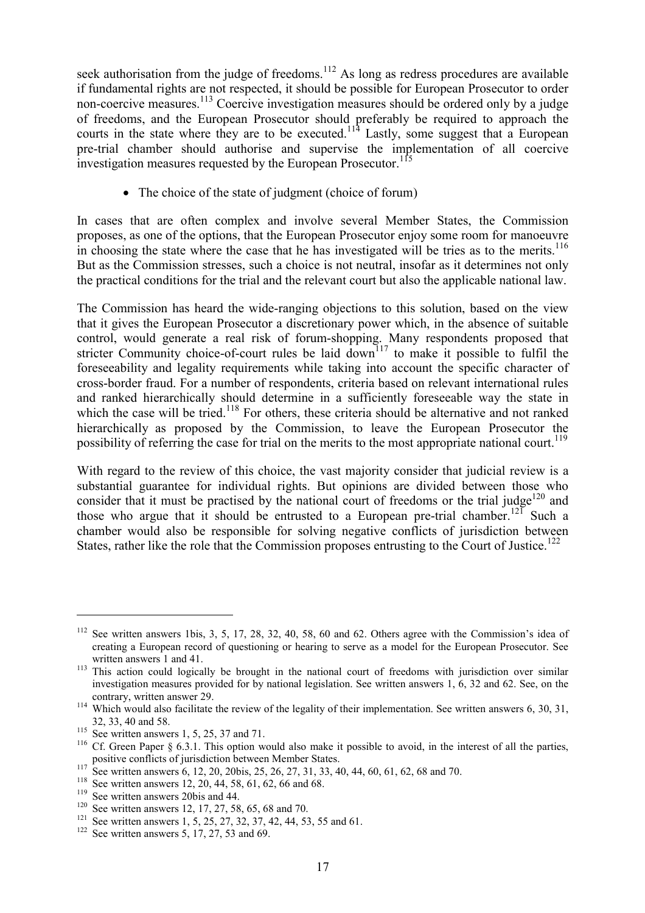seek authorisation from the judge of freedoms.<sup>112</sup> As long as redress procedures are available if fundamental rights are not respected, it should be possible for European Prosecutor to order non-coercive measures.<sup>113</sup> Coercive investigation measures should be ordered only by a judge of freedoms, and the European Prosecutor should preferably be required to approach the courts in the state where they are to be executed.<sup>114</sup> Lastly, some suggest that a European pre-trial chamber should authorise and supervise the implementation of all coercive investigation measures requested by the European Prosecutor.<sup>115</sup>

• The choice of the state of judgment (choice of forum)

In cases that are often complex and involve several Member States, the Commission proposes, as one of the options, that the European Prosecutor enjoy some room for manoeuvre in choosing the state where the case that he has investigated will be tries as to the merits. $116$ But as the Commission stresses, such a choice is not neutral, insofar as it determines not only the practical conditions for the trial and the relevant court but also the applicable national law.

The Commission has heard the wide-ranging objections to this solution, based on the view that it gives the European Prosecutor a discretionary power which, in the absence of suitable control, would generate a real risk of forum-shopping. Many respondents proposed that stricter Community choice-of-court rules be laid  $\overline{\text{down}}^{117}$  to make it possible to fulfil the foreseeability and legality requirements while taking into account the specific character of cross-border fraud. For a number of respondents, criteria based on relevant international rules and ranked hierarchically should determine in a sufficiently foreseeable way the state in which the case will be tried.<sup>118</sup> For others, these criteria should be alternative and not ranked hierarchically as proposed by the Commission, to leave the European Prosecutor the possibility of referring the case for trial on the merits to the most appropriate national court.<sup>119</sup>

With regard to the review of this choice, the vast majority consider that judicial review is a substantial guarantee for individual rights. But opinions are divided between those who consider that it must be practised by the national court of freedoms or the trial judge $120$  and those who argue that it should be entrusted to a European pre-trial chamber.<sup>121</sup> Such a chamber would also be responsible for solving negative conflicts of jurisdiction between States, rather like the role that the Commission proposes entrusting to the Court of Justice.<sup>122</sup>

<sup>112</sup> See written answers 1bis, 3, 5, 17, 28, 32, 40, 58, 60 and 62. Others agree with the Commission's idea of creating a European record of questioning or hearing to serve as a model for the European Prosecutor. See

written answers 1 and 41.<br><sup>113</sup> This action could logically be brought in the national court of freedoms with jurisdiction over similar investigation measures provided for by national legislation. See written answers 1, 6, 32 and 62. See, on the

contrary, written answer 29.<br><sup>114</sup> Which would also facilitate the review of the legality of their implementation. See written answers 6, 30, 31,

<sup>32, 33, 40</sup> and 58.<br><sup>115</sup> See written answers 1, 5, 25, 37 and 71.<br><sup>116</sup> Cf. Green Paper § 6.3.1. This option would also make it possible to avoid, in the interest of all the parties,

positive conflicts of jurisdiction between Member States.<br>
<sup>117</sup> See written answers 6, 12, 20, 20bis, 25, 26, 27, 31, 33, 40, 44, 60, 61, 62, 68 and 70.<br>
<sup>118</sup> See written answers 12, 20, 44, 58, 61, 62, 66 and 68.<br>
<sup>119</sup>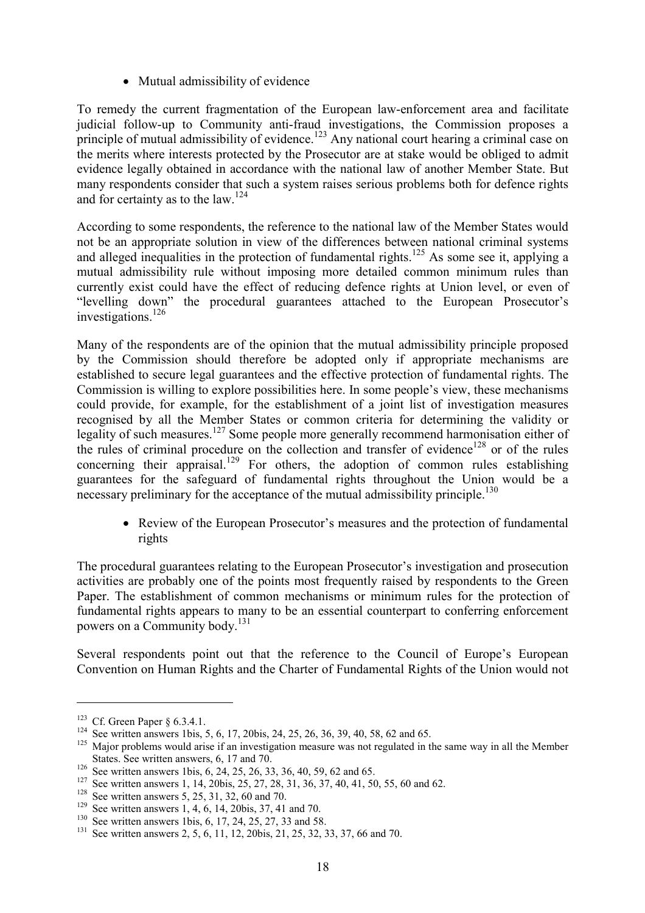• Mutual admissibility of evidence

To remedy the current fragmentation of the European law-enforcement area and facilitate judicial follow-up to Community anti-fraud investigations, the Commission proposes a principle of mutual admissibility of evidence.<sup>123</sup> Any national court hearing a criminal case on the merits where interests protected by the Prosecutor are at stake would be obliged to admit evidence legally obtained in accordance with the national law of another Member State. But many respondents consider that such a system raises serious problems both for defence rights and for certainty as to the law.<sup>124</sup>

According to some respondents, the reference to the national law of the Member States would not be an appropriate solution in view of the differences between national criminal systems and alleged inequalities in the protection of fundamental rights.<sup>125</sup> As some see it, applying a mutual admissibility rule without imposing more detailed common minimum rules than currently exist could have the effect of reducing defence rights at Union level, or even of "levelling down" the procedural guarantees attached to the European Prosecutor's investigations.<sup>126</sup>

Many of the respondents are of the opinion that the mutual admissibility principle proposed by the Commission should therefore be adopted only if appropriate mechanisms are established to secure legal guarantees and the effective protection of fundamental rights. The Commission is willing to explore possibilities here. In some people's view, these mechanisms could provide, for example, for the establishment of a joint list of investigation measures recognised by all the Member States or common criteria for determining the validity or legality of such measures.127 Some people more generally recommend harmonisation either of the rules of criminal procedure on the collection and transfer of evidence<sup>128</sup> or of the rules concerning their appraisal.<sup>129</sup> For others, the adoption of common rules establishing guarantees for the safeguard of fundamental rights throughout the Union would be a necessary preliminary for the acceptance of the mutual admissibility principle.<sup>130</sup>

• Review of the European Prosecutor's measures and the protection of fundamental rights

The procedural guarantees relating to the European Prosecutor's investigation and prosecution activities are probably one of the points most frequently raised by respondents to the Green Paper. The establishment of common mechanisms or minimum rules for the protection of fundamental rights appears to many to be an essential counterpart to conferring enforcement powers on a Community body.<sup>131</sup>

Several respondents point out that the reference to the Council of Europe's European Convention on Human Rights and the Charter of Fundamental Rights of the Union would not

<sup>&</sup>lt;sup>123</sup> Cf. Green Paper § 6.3.4.1.<br><sup>124</sup> See written answers 1bis, 5, 6, 17, 20bis, 24, 25, 26, 36, 39, 40, 58, 62 and 65.<br><sup>125</sup> Major problems would arise if an investigation measure was not regulated in the same way in al States. See written answers, 6, 17 and 70.<br>
<sup>126</sup> See written answers 1bis, 6, 24, 25, 26, 33, 36, 40, 59, 62 and 65.<br>
<sup>127</sup> See written answers 1, 14, 20bis, 25, 27, 28, 31, 36, 37, 40, 41, 50, 55, 60 and 62.<br>
<sup>128</sup> See w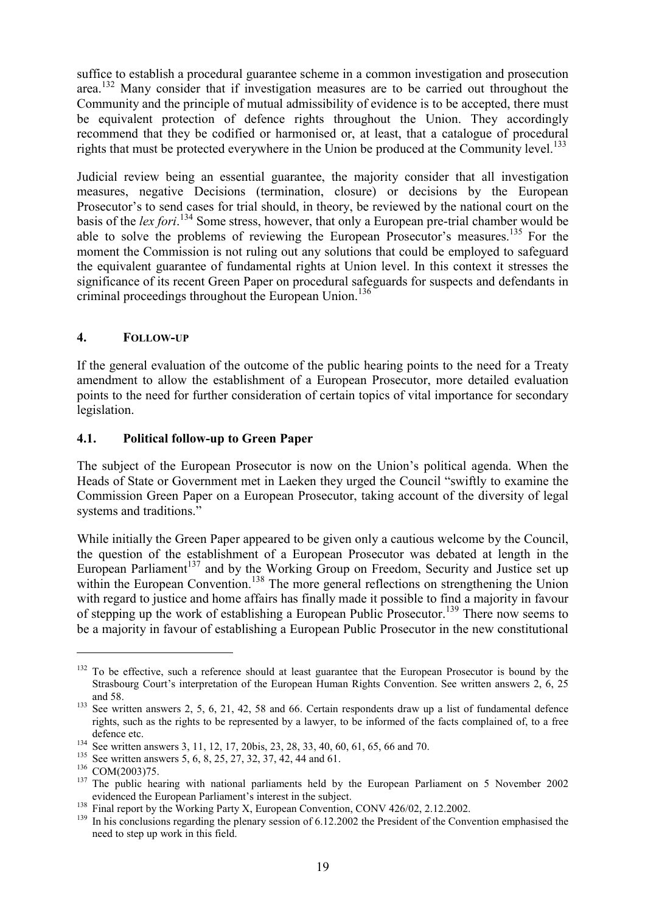suffice to establish a procedural guarantee scheme in a common investigation and prosecution area.<sup>132</sup> Many consider that if investigation measures are to be carried out throughout the Community and the principle of mutual admissibility of evidence is to be accepted, there must be equivalent protection of defence rights throughout the Union. They accordingly recommend that they be codified or harmonised or, at least, that a catalogue of procedural rights that must be protected everywhere in the Union be produced at the Community level.<sup>133</sup>

Judicial review being an essential guarantee, the majority consider that all investigation measures, negative Decisions (termination, closure) or decisions by the European Prosecutor's to send cases for trial should, in theory, be reviewed by the national court on the basis of the *lex fori*. 134 Some stress, however, that only a European pre-trial chamber would be able to solve the problems of reviewing the European Prosecutor's measures.<sup>135</sup> For the moment the Commission is not ruling out any solutions that could be employed to safeguard the equivalent guarantee of fundamental rights at Union level. In this context it stresses the significance of its recent Green Paper on procedural safeguards for suspects and defendants in criminal proceedings throughout the European Union.<sup>136</sup>

#### **4. FOLLOW-UP**

If the general evaluation of the outcome of the public hearing points to the need for a Treaty amendment to allow the establishment of a European Prosecutor, more detailed evaluation points to the need for further consideration of certain topics of vital importance for secondary legislation.

#### **4.1. Political follow-up to Green Paper**

The subject of the European Prosecutor is now on the Union's political agenda. When the Heads of State or Government met in Laeken they urged the Council "swiftly to examine the Commission Green Paper on a European Prosecutor, taking account of the diversity of legal systems and traditions."

While initially the Green Paper appeared to be given only a cautious welcome by the Council, the question of the establishment of a European Prosecutor was debated at length in the European Parliament<sup>137</sup> and by the Working Group on Freedom, Security and Justice set up within the European Convention.<sup>138</sup> The more general reflections on strengthening the Union with regard to justice and home affairs has finally made it possible to find a majority in favour of stepping up the work of establishing a European Public Prosecutor.<sup>139</sup> There now seems to be a majority in favour of establishing a European Public Prosecutor in the new constitutional

 $132$  To be effective, such a reference should at least guarantee that the European Prosecutor is bound by the Strasbourg Court's interpretation of the European Human Rights Convention. See written answers 2, 6, 25

and 58. 133 See written answers 2, 5, 6, 21, 42, 58 and 66. Certain respondents draw up a list of fundamental defence rights, such as the rights to be represented by a lawyer, to be informed of the facts complained of, to a free

defence etc.<br>
<sup>134</sup> See written answers 3, 11, 12, 17, 20bis, 23, 28, 33, 40, 60, 61, 65, 66 and 70.<br>
<sup>135</sup> See written answers 5, 6, 8, 25, 27, 32, 37, 42, 44 and 61.<br>
<sup>136</sup> COM(2003)75.<br>
<sup>137</sup> The public hearing with na

<sup>&</sup>lt;sup>138</sup> Final report by the Working Party X, European Convention, CONV 426/02, 2.12.2002.<br><sup>139</sup> In his conclusions regarding the plenary session of 6.12.2002 the President of the Convention emphasised the need to step up work in this field.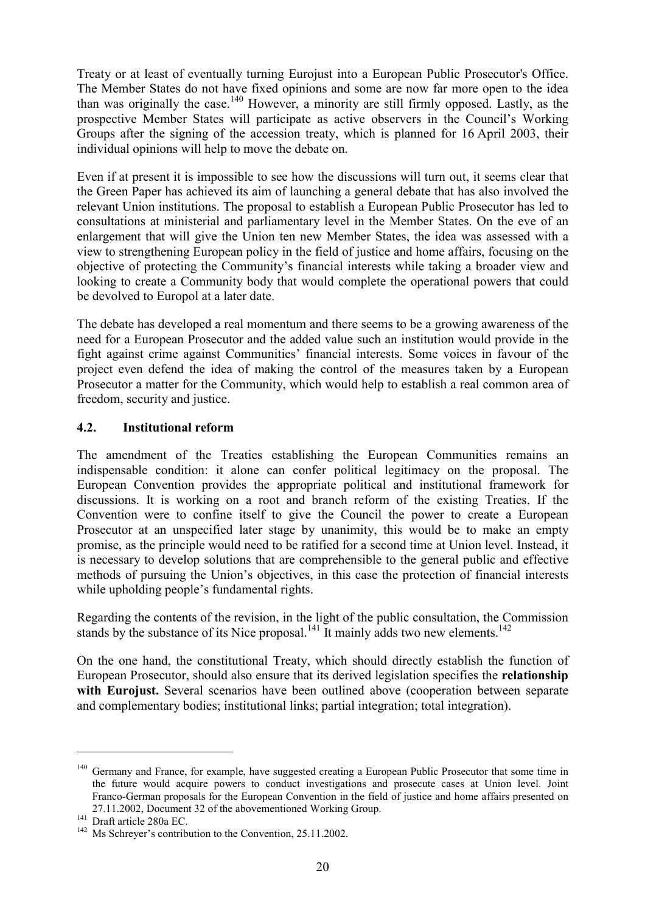Treaty or at least of eventually turning Eurojust into a European Public Prosecutor's Office. The Member States do not have fixed opinions and some are now far more open to the idea than was originally the case.140 However, a minority are still firmly opposed. Lastly, as the prospective Member States will participate as active observers in the Council's Working Groups after the signing of the accession treaty, which is planned for 16 April 2003, their individual opinions will help to move the debate on.

Even if at present it is impossible to see how the discussions will turn out, it seems clear that the Green Paper has achieved its aim of launching a general debate that has also involved the relevant Union institutions. The proposal to establish a European Public Prosecutor has led to consultations at ministerial and parliamentary level in the Member States. On the eve of an enlargement that will give the Union ten new Member States, the idea was assessed with a view to strengthening European policy in the field of justice and home affairs, focusing on the objective of protecting the Community's financial interests while taking a broader view and looking to create a Community body that would complete the operational powers that could be devolved to Europol at a later date.

The debate has developed a real momentum and there seems to be a growing awareness of the need for a European Prosecutor and the added value such an institution would provide in the fight against crime against Communities' financial interests. Some voices in favour of the project even defend the idea of making the control of the measures taken by a European Prosecutor a matter for the Community, which would help to establish a real common area of freedom, security and justice.

#### **4.2. Institutional reform**

The amendment of the Treaties establishing the European Communities remains an indispensable condition: it alone can confer political legitimacy on the proposal. The European Convention provides the appropriate political and institutional framework for discussions. It is working on a root and branch reform of the existing Treaties. If the Convention were to confine itself to give the Council the power to create a European Prosecutor at an unspecified later stage by unanimity, this would be to make an empty promise, as the principle would need to be ratified for a second time at Union level. Instead, it is necessary to develop solutions that are comprehensible to the general public and effective methods of pursuing the Union's objectives, in this case the protection of financial interests while upholding people's fundamental rights.

Regarding the contents of the revision, in the light of the public consultation, the Commission stands by the substance of its Nice proposal.<sup>141</sup> It mainly adds two new elements.<sup>142</sup>

On the one hand, the constitutional Treaty, which should directly establish the function of European Prosecutor, should also ensure that its derived legislation specifies the **relationship with Eurojust.** Several scenarios have been outlined above (cooperation between separate and complementary bodies; institutional links; partial integration; total integration).

<sup>&</sup>lt;sup>140</sup> Germany and France, for example, have suggested creating a European Public Prosecutor that some time in the future would acquire powers to conduct investigations and prosecute cases at Union level. Joint Franco-German proposals for the European Convention in the field of justice and home affairs presented on 27.11.2002, Document 32 of the abovementioned Working Group.<br>
<sup>141</sup> Draft article 280a EC.<br>
<sup>142</sup> Ms Schreyer's contribution to the Convention, 25.11.2002.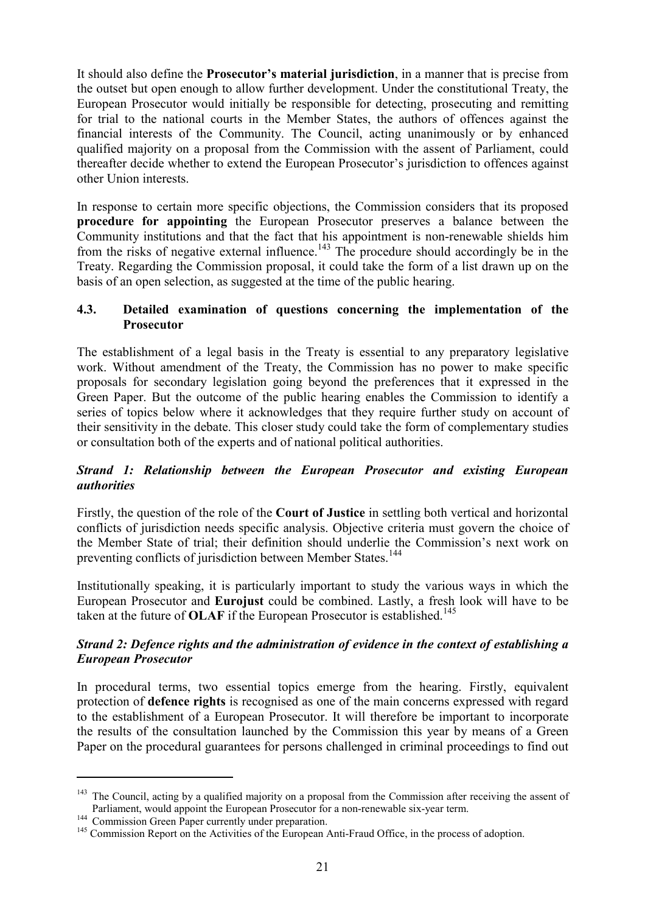It should also define the **Prosecutor's material jurisdiction**, in a manner that is precise from the outset but open enough to allow further development. Under the constitutional Treaty, the European Prosecutor would initially be responsible for detecting, prosecuting and remitting for trial to the national courts in the Member States, the authors of offences against the financial interests of the Community. The Council, acting unanimously or by enhanced qualified majority on a proposal from the Commission with the assent of Parliament, could thereafter decide whether to extend the European Prosecutor's jurisdiction to offences against other Union interests.

In response to certain more specific objections, the Commission considers that its proposed **procedure for appointing** the European Prosecutor preserves a balance between the Community institutions and that the fact that his appointment is non-renewable shields him from the risks of negative external influence.<sup>143</sup> The procedure should accordingly be in the Treaty. Regarding the Commission proposal, it could take the form of a list drawn up on the basis of an open selection, as suggested at the time of the public hearing.

### **4.3. Detailed examination of questions concerning the implementation of the Prosecutor**

The establishment of a legal basis in the Treaty is essential to any preparatory legislative work. Without amendment of the Treaty, the Commission has no power to make specific proposals for secondary legislation going beyond the preferences that it expressed in the Green Paper. But the outcome of the public hearing enables the Commission to identify a series of topics below where it acknowledges that they require further study on account of their sensitivity in the debate. This closer study could take the form of complementary studies or consultation both of the experts and of national political authorities.

#### *Strand 1: Relationship between the European Prosecutor and existing European authorities*

Firstly, the question of the role of the **Court of Justice** in settling both vertical and horizontal conflicts of jurisdiction needs specific analysis. Objective criteria must govern the choice of the Member State of trial; their definition should underlie the Commission's next work on preventing conflicts of jurisdiction between Member States.<sup>144</sup>

Institutionally speaking, it is particularly important to study the various ways in which the European Prosecutor and **Eurojust** could be combined. Lastly, a fresh look will have to be taken at the future of **OLAF** if the European Prosecutor is established.<sup>145</sup>

## *Strand 2: Defence rights and the administration of evidence in the context of establishing a European Prosecutor*

In procedural terms, two essential topics emerge from the hearing. Firstly, equivalent protection of **defence rights** is recognised as one of the main concerns expressed with regard to the establishment of a European Prosecutor. It will therefore be important to incorporate the results of the consultation launched by the Commission this year by means of a Green Paper on the procedural guarantees for persons challenged in criminal proceedings to find out

<sup>&</sup>lt;sup>143</sup> The Council, acting by a qualified majority on a proposal from the Commission after receiving the assent of Parliament, would appoint the European Prosecutor for a non-renewable six-year term.

<sup>&</sup>lt;sup>144</sup> Commission Green Paper currently under preparation.<br><sup>145</sup> Commission Report on the Activities of the European Anti-Fraud Office, in the process of adoption.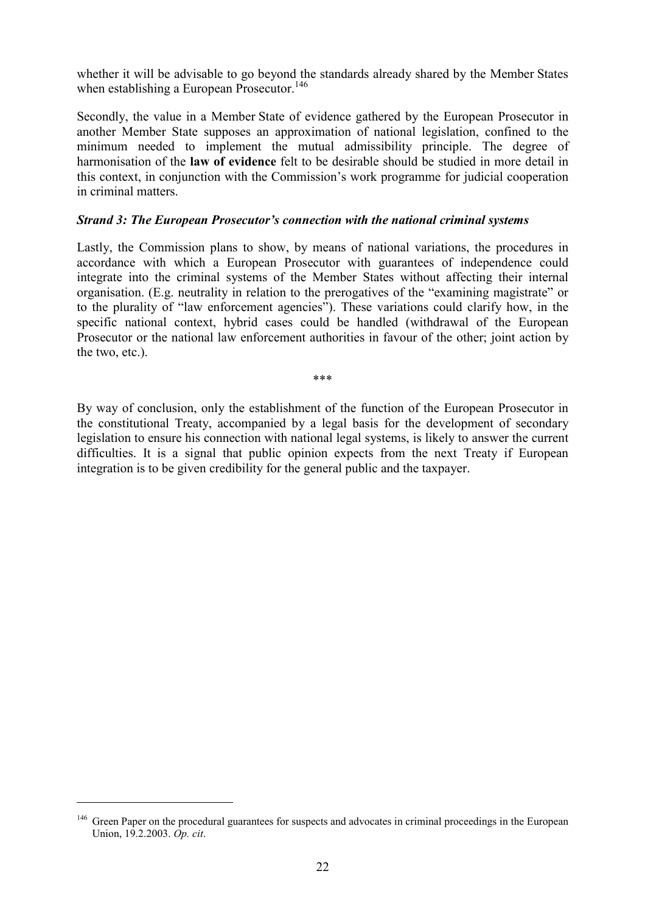whether it will be advisable to go beyond the standards already shared by the Member States when establishing a European Prosecutor.<sup>146</sup>

Secondly, the value in a Member State of evidence gathered by the European Prosecutor in another Member State supposes an approximation of national legislation, confined to the minimum needed to implement the mutual admissibility principle. The degree of harmonisation of the **law of evidence** felt to be desirable should be studied in more detail in this context, in conjunction with the Commission's work programme for judicial cooperation in criminal matters.

#### *Strand 3: The European Prosecutor's connection with the national criminal systems*

Lastly, the Commission plans to show, by means of national variations, the procedures in accordance with which a European Prosecutor with guarantees of independence could integrate into the criminal systems of the Member States without affecting their internal organisation. (E.g. neutrality in relation to the prerogatives of the "examining magistrate" or to the plurality of "law enforcement agencies"). These variations could clarify how, in the specific national context, hybrid cases could be handled (withdrawal of the European Prosecutor or the national law enforcement authorities in favour of the other; joint action by the two, etc.).

\*\*\*

By way of conclusion, only the establishment of the function of the European Prosecutor in the constitutional Treaty, accompanied by a legal basis for the development of secondary legislation to ensure his connection with national legal systems, is likely to answer the current difficulties. It is a signal that public opinion expects from the next Treaty if European integration is to be given credibility for the general public and the taxpayer.

<sup>&</sup>lt;sup>146</sup> Green Paper on the procedural guarantees for suspects and advocates in criminal proceedings in the European Union, 19.2.2003. *Op. cit*.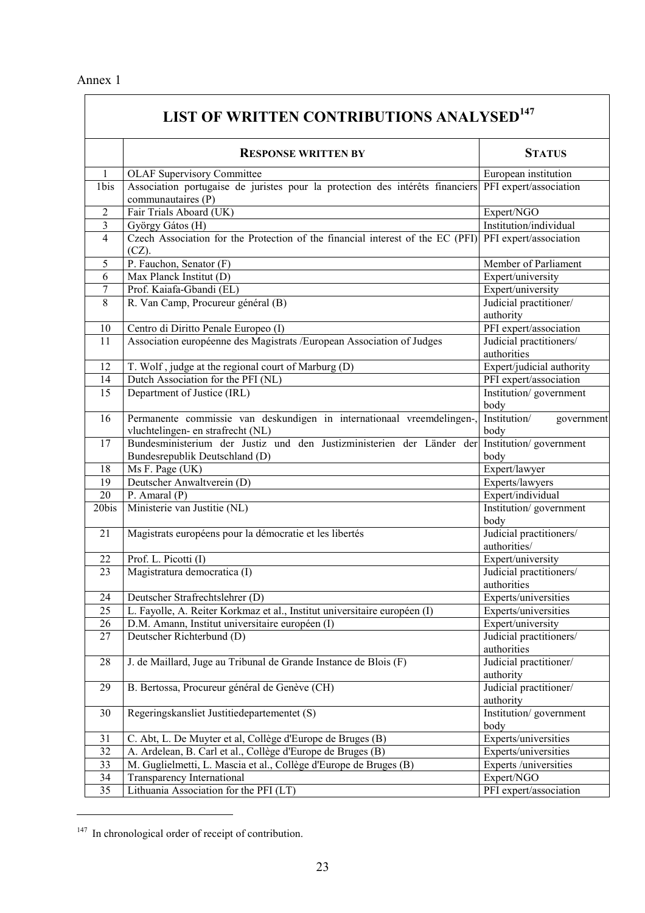| LIST OF WRITTEN CONTRIBUTIONS ANALYSED <sup>147</sup> |                                                                                                                   |                                         |
|-------------------------------------------------------|-------------------------------------------------------------------------------------------------------------------|-----------------------------------------|
|                                                       | <b>RESPONSE WRITTEN BY</b>                                                                                        | <b>STATUS</b>                           |
| $\mathbf{1}$                                          | <b>OLAF Supervisory Committee</b>                                                                                 | European institution                    |
| 1bis                                                  | Association portugaise de juristes pour la protection des intérêts financiers PFI expert/association              |                                         |
|                                                       | communautaires (P)                                                                                                |                                         |
| $\overline{2}$                                        | Fair Trials Aboard (UK)                                                                                           | Expert/NGO                              |
| 3                                                     | György Gátos (H)                                                                                                  | Institution/individual                  |
| $\overline{4}$                                        | Czech Association for the Protection of the financial interest of the EC (PFI) PFI expert/association<br>$(CZ)$ . |                                         |
| 5                                                     | P. Fauchon, Senator (F)                                                                                           | Member of Parliament                    |
| 6                                                     | Max Planck Institut (D)                                                                                           | Expert/university                       |
| 7                                                     | Prof. Kaiafa-Gbandi (EL)                                                                                          | Expert/university                       |
| 8                                                     | R. Van Camp, Procureur général (B)                                                                                | Judicial practitioner/                  |
|                                                       |                                                                                                                   | authority                               |
| 10                                                    | Centro di Diritto Penale Europeo (I)                                                                              | PFI expert/association                  |
| 11                                                    | Association européenne des Magistrats /European Association of Judges                                             | Judicial practitioners/                 |
|                                                       |                                                                                                                   | authorities                             |
| 12                                                    | T. Wolf, judge at the regional court of Marburg (D)                                                               | Expert/judicial authority               |
| 14                                                    | Dutch Association for the PFI (NL)                                                                                | PFI expert/association                  |
| 15                                                    | Department of Justice (IRL)                                                                                       | Institution/government                  |
|                                                       |                                                                                                                   | body                                    |
| 16                                                    | Permanente commissie van deskundigen in internationaal vreemdelingen-,<br>vluchtelingen- en strafrecht (NL)       | Institution/<br>government<br>body      |
| 17                                                    | Bundesministerium der Justiz und den Justizministerien der Länder der                                             | Institution/government                  |
|                                                       | Bundesrepublik Deutschland (D)                                                                                    | body                                    |
| 18                                                    | Ms F. Page (UK)                                                                                                   | Expert/lawyer                           |
| 19                                                    | Deutscher Anwaltverein (D)                                                                                        | Experts/lawyers                         |
| 20                                                    | P. Amaral $(P)$                                                                                                   | Expert/individual                       |
| 20bis                                                 | Ministerie van Justitie (NL)                                                                                      | Institution/government<br>body          |
| 21                                                    | Magistrats européens pour la démocratie et les libertés                                                           | Judicial practitioners/<br>authorities/ |
| 22                                                    | Prof. L. Picotti (I)                                                                                              | Expert/university                       |
| 23                                                    | Magistratura democratica (I)                                                                                      | Judicial practitioners/                 |
|                                                       |                                                                                                                   | authorities                             |
| 24                                                    | Deutscher Strafrechtslehrer (D)                                                                                   | Experts/universities                    |
| 25                                                    | L. Fayolle, A. Reiter Korkmaz et al., Institut universitaire européen (I)                                         | Experts/universities                    |
| 26                                                    | D.M. Amann, Institut universitaire européen (I)                                                                   | Expert/university                       |
| 27                                                    | Deutscher Richterbund (D)                                                                                         | Judicial practitioners/                 |
|                                                       |                                                                                                                   | authorities                             |
| 28                                                    | J. de Maillard, Juge au Tribunal de Grande Instance de Blois (F)                                                  | Judicial practitioner/<br>authority     |
| 29                                                    | B. Bertossa, Procureur général de Genève (CH)                                                                     | Judicial practitioner/<br>authority     |
| 30                                                    | Regeringskansliet Justitiedepartementet (S)                                                                       | Institution/government<br>body          |
| 31                                                    | C. Abt, L. De Muyter et al, Collège d'Europe de Bruges (B)                                                        | Experts/universities                    |
| 32                                                    | A. Ardelean, B. Carl et al., Collège d'Europe de Bruges (B)                                                       | Experts/universities                    |
| 33                                                    | M. Guglielmetti, L. Mascia et al., Collège d'Europe de Bruges (B)                                                 | Experts /universities                   |
| 34                                                    | <b>Transparency International</b>                                                                                 | Expert/NGO                              |
| 35                                                    | Lithuania Association for the PFI (LT)                                                                            | PFI expert/association                  |

<sup>&</sup>lt;sup>147</sup> In chronological order of receipt of contribution.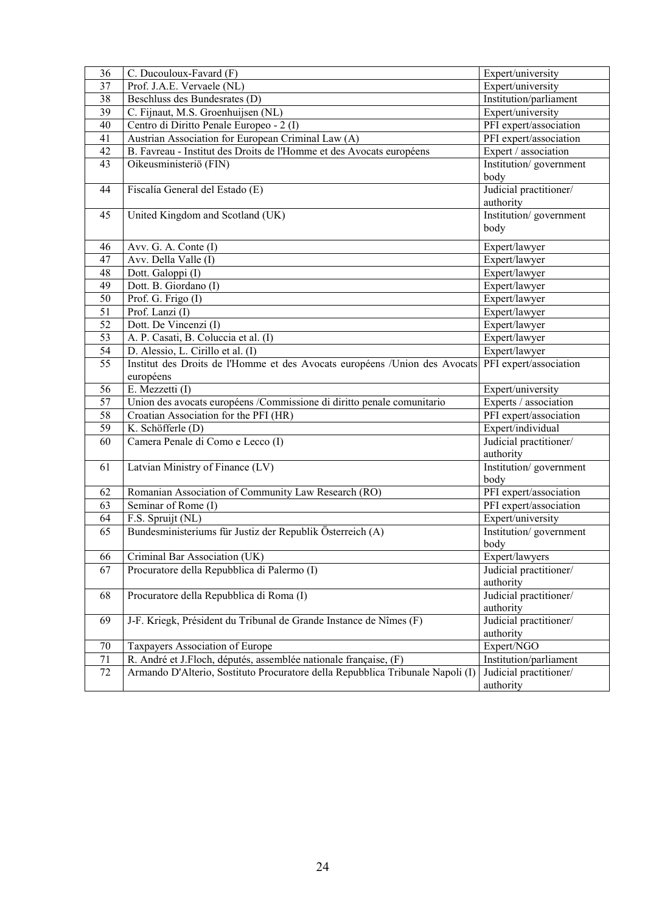| 36                    | C. Ducouloux-Favard (F)                                                                 | Expert/university              |
|-----------------------|-----------------------------------------------------------------------------------------|--------------------------------|
| 37                    | Prof. J.A.E. Vervaele (NL)                                                              | Expert/university              |
| 38                    | Beschluss des Bundesrates (D)                                                           | Institution/parliament         |
| 39                    | C. Fijnaut, M.S. Groenhuijsen (NL)                                                      | Expert/university              |
| 40                    | Centro di Diritto Penale Europeo - 2 (I)                                                | PFI expert/association         |
| 41                    | Austrian Association for European Criminal Law (A)                                      | PFI expert/association         |
| 42                    | B. Favreau - Institut des Droits de l'Homme et des Avocats européens                    | Expert / association           |
| 43                    | Oikeusministeriö (FIN)                                                                  | Institution/government         |
|                       |                                                                                         | body                           |
| 44                    | Fiscalía General del Estado (E)                                                         | Judicial practitioner/         |
|                       |                                                                                         | authority                      |
| 45                    | United Kingdom and Scotland (UK)                                                        | Institution/government         |
|                       |                                                                                         | body                           |
|                       |                                                                                         |                                |
| 46<br>47              | Avv. G. A. Conte (I)<br>Avv. Della Valle (I)                                            | Expert/lawyer<br>Expert/lawyer |
| 48                    | Dott. Galoppi $(\overline{I})$                                                          | Expert/lawyer                  |
| 49                    | Dott. B. Giordano (I)                                                                   |                                |
| 50                    |                                                                                         | Expert/lawyer                  |
|                       | Prof. G. Frigo (I)<br>Prof. Lanzi (I)                                                   | Expert/lawyer<br>Expert/lawyer |
| 51<br>52              | Dott. De Vincenzi (I)                                                                   |                                |
|                       |                                                                                         | Expert/lawyer                  |
| 53                    | A. P. Casati, B. Coluccia et al. (I)                                                    | Expert/lawyer                  |
| 54<br>$\overline{55}$ | D. Alessio, L. Cirillo et al. (I)                                                       | Expert/lawyer                  |
|                       | Institut des Droits de l'Homme et des Avocats européens /Union des Avocats<br>européens | PFI expert/association         |
| 56                    | E. Mezzetti (I)                                                                         | Expert/university              |
| 57                    | Union des avocats européens /Commissione di diritto penale comunitario                  | Experts / association          |
| 58                    | Croatian Association for the PFI (HR)                                                   | PFI expert/association         |
| 59                    | K. Schöfferle (D)                                                                       | Expert/individual              |
| 60                    | Camera Penale di Como e Lecco (I)                                                       | Judicial practitioner/         |
|                       |                                                                                         | authority                      |
| 61                    | Latvian Ministry of Finance (LV)                                                        | Institution/government         |
|                       |                                                                                         | body                           |
| 62                    | Romanian Association of Community Law Research (RO)                                     | PFI expert/association         |
| 63                    | Seminar of Rome (I)                                                                     | PFI expert/association         |
| 64                    | F.S. Spruijt (NL)                                                                       | Expert/university              |
| 65                    | Bundesministeriums für Justiz der Republik Österreich (A)                               | Institution/government         |
|                       |                                                                                         | body                           |
| 66                    | Criminal Bar Association (UK)                                                           | Expert/lawyers                 |
| 67                    | Procuratore della Repubblica di Palermo (I)                                             | Judicial practitioner/         |
|                       |                                                                                         | authority                      |
| 68                    | Procuratore della Repubblica di Roma (I)                                                | Judicial practitioner/         |
|                       |                                                                                         | authority                      |
| 69                    | J-F. Kriegk, Président du Tribunal de Grande Instance de Nîmes (F)                      | Judicial practitioner/         |
|                       |                                                                                         | authority                      |
| 70                    | Taxpayers Association of Europe                                                         | Expert/NGO                     |
| 71                    | R. André et J.Floch, députés, assemblée nationale française, (F)                        | Institution/parliament         |
| 72                    | Armando D'Alterio, Sostituto Procuratore della Repubblica Tribunale Napoli (I)          | Judicial practitioner/         |
|                       |                                                                                         | authority                      |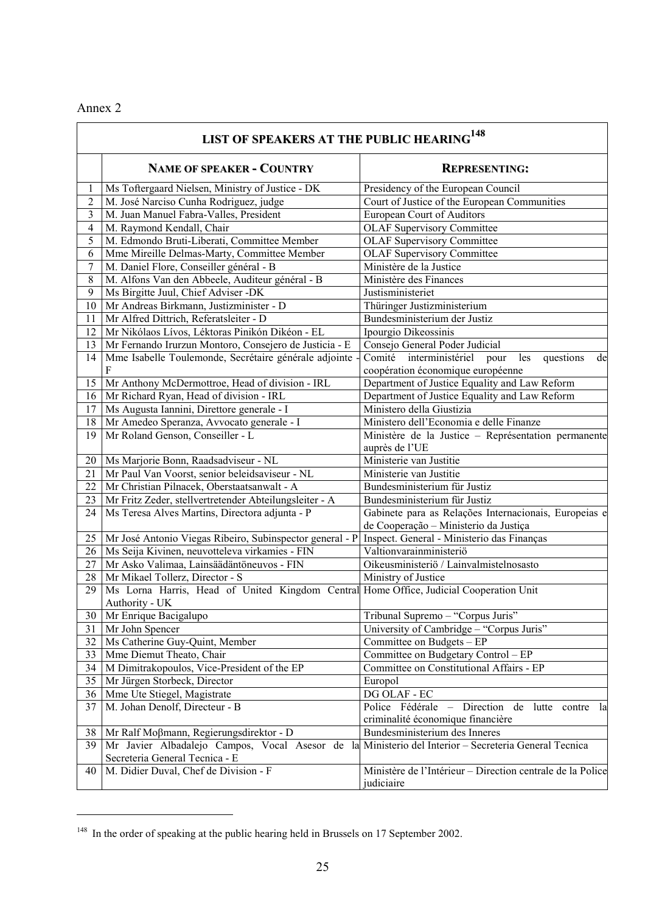# Annex 2

 $\blacksquare$ 

 $\overline{a}$ 

|                | LIST OF SPEAKERS AT THE PUBLIC HEARING <sup>148</sup>                                                |                                                            |  |  |
|----------------|------------------------------------------------------------------------------------------------------|------------------------------------------------------------|--|--|
|                | <b>NAME OF SPEAKER - COUNTRY</b>                                                                     | <b>REPRESENTING:</b>                                       |  |  |
| 1              | Ms Toftergaard Nielsen, Ministry of Justice - DK                                                     | Presidency of the European Council                         |  |  |
| $\mathfrak{2}$ | M. José Narciso Cunha Rodriguez, judge                                                               | Court of Justice of the European Communities               |  |  |
| 3              | M. Juan Manuel Fabra-Valles, President                                                               | European Court of Auditors                                 |  |  |
| $\overline{4}$ | M. Raymond Kendall, Chair                                                                            | <b>OLAF Supervisory Committee</b>                          |  |  |
| 5              | M. Edmondo Bruti-Liberati, Committee Member                                                          | <b>OLAF Supervisory Committee</b>                          |  |  |
| 6              | Mme Mireille Delmas-Marty, Committee Member                                                          | <b>OLAF Supervisory Committee</b>                          |  |  |
| 7              | M. Daniel Flore, Conseiller général - B                                                              | Ministère de la Justice                                    |  |  |
| $8\,$          | M. Alfons Van den Abbeele, Auditeur général - B                                                      | Ministère des Finances                                     |  |  |
| 9              | Ms Birgitte Juul, Chief Adviser -DK                                                                  | Justisministeriet                                          |  |  |
| 10             | Mr Andreas Birkmann, Justizminister - D                                                              | Thüringer Justizministerium                                |  |  |
| 11             | Mr Alfred Dittrich, Referatsleiter - D                                                               | Bundesministerium der Justiz                               |  |  |
| 12             | Mr Nikólaos Lívos, Léktoras Pinikón Dikéon - EL                                                      | Ipourgio Dikeossinis                                       |  |  |
| 13             | Mr Fernando Irurzun Montoro, Consejero de Justicia - E                                               | Consejo General Poder Judicial                             |  |  |
| 14             | Mme Isabelle Toulemonde, Secrétaire générale adjointe                                                | Comité interministériel pour<br>les<br>questions<br>de     |  |  |
|                | F                                                                                                    | coopération économique européenne                          |  |  |
| 15             | Mr Anthony McDermottroe, Head of division - IRL                                                      | Department of Justice Equality and Law Reform              |  |  |
| 16             | Mr Richard Ryan, Head of division - IRL                                                              | Department of Justice Equality and Law Reform              |  |  |
| 17             | Ms Augusta Iannini, Direttore generale - I                                                           | Ministero della Giustizia                                  |  |  |
| 18             | Mr Amedeo Speranza, Avvocato generale - I                                                            | Ministero dell'Economia e delle Finanze                    |  |  |
| 19             | Mr Roland Genson, Conseiller - L                                                                     | Ministère de la Justice - Représentation permanente        |  |  |
|                |                                                                                                      | auprès de l'UE                                             |  |  |
| 20             | Ms Marjorie Bonn, Raadsadviseur - NL                                                                 | Ministerie van Justitie                                    |  |  |
| 21             | Mr Paul Van Voorst, senior beleidsaviseur - NL                                                       | Ministerie van Justitie                                    |  |  |
| 22             | Mr Christian Pilnacek, Oberstaatsanwalt - A                                                          | Bundesministerium für Justiz                               |  |  |
| 23             | Mr Fritz Zeder, stellvertretender Abteilungsleiter - A                                               | Bundesministerium für Justiz                               |  |  |
| 24             | Ms Teresa Alves Martins, Directora adjunta - P                                                       | Gabinete para as Relações Internacionais, Europeias e      |  |  |
|                |                                                                                                      | de Cooperação - Ministerio da Justiça                      |  |  |
| 25             | Mr José Antonio Viegas Ribeiro, Subinspector general - P                                             | Inspect. General - Ministerio das Finanças                 |  |  |
| 26             | Ms Seija Kivinen, neuvotteleva virkamies - FIN                                                       | Valtionvarainministeriö                                    |  |  |
| 27             | Mr Asko Valimaa, Lainsäädäntöneuvos - FIN                                                            | Oikeusministeriö / Lainvalmistelnosasto                    |  |  |
| 28             | Mr Mikael Tollerz, Director - S                                                                      | Ministry of Justice                                        |  |  |
| 29             | Ms Lorna Harris, Head of United Kingdom Central Home Office, Judicial Cooperation Unit               |                                                            |  |  |
|                | Authority - UK                                                                                       |                                                            |  |  |
|                | 30 Mr Enrique Bacigalupo                                                                             | Tribunal Supremo - "Corpus Juris"                          |  |  |
| 31             | Mr John Spencer                                                                                      | University of Cambridge - "Corpus Juris"                   |  |  |
| 32             | Ms Catherine Guy-Quint, Member                                                                       | Committee on Budgets - EP                                  |  |  |
| 33             | Mme Diemut Theato, Chair                                                                             | Committee on Budgetary Control - EP                        |  |  |
| 34             | M Dimitrakopoulos, Vice-President of the EP                                                          | Committee on Constitutional Affairs - EP                   |  |  |
| 35             | Mr Jürgen Storbeck, Director                                                                         | Europol                                                    |  |  |
| 36             | Mme Ute Stiegel, Magistrate                                                                          | DG OLAF - EC                                               |  |  |
| 37             | M. Johan Denolf, Directeur - B                                                                       | Police Fédérale - Direction de lutte contre la             |  |  |
|                |                                                                                                      | criminalité économique financière                          |  |  |
| 38             | Mr Ralf Moβmann, Regierungsdirektor - D                                                              | Bundesministerium des Inneres                              |  |  |
| 39             | Mr Javier Albadalejo Campos, Vocal Asesor de la Ministerio del Interior – Secreteria General Tecnica |                                                            |  |  |
|                | Secreteria General Tecnica - E                                                                       |                                                            |  |  |
| 40             | M. Didier Duval, Chef de Division - F                                                                | Ministère de l'Intérieur - Direction centrale de la Police |  |  |
|                |                                                                                                      | judiciaire                                                 |  |  |

# <sup>148</sup> In the order of speaking at the public hearing held in Brussels on 17 September 2002.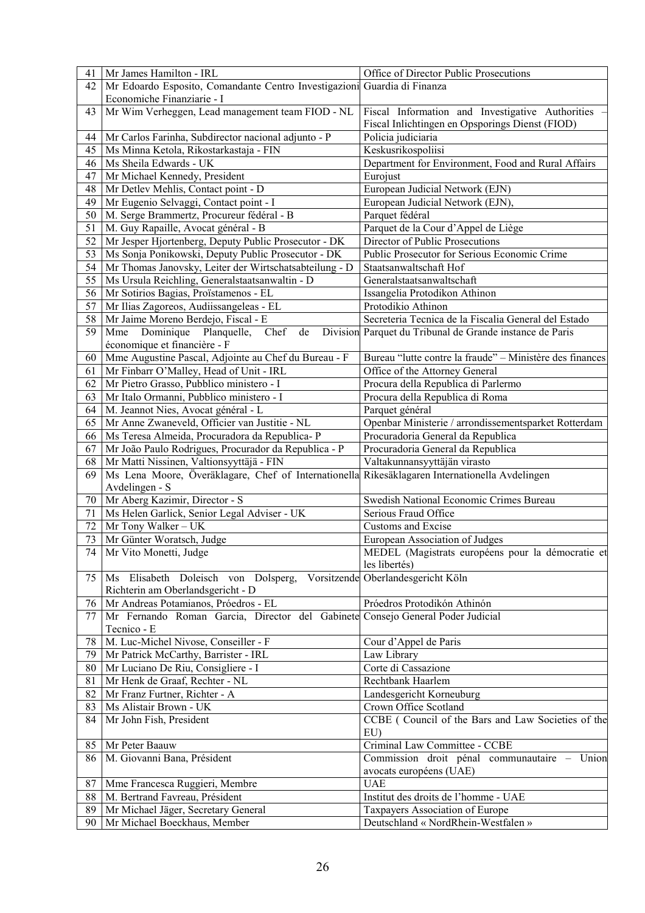| 41     | Mr James Hamilton - IRL                                                                        | Office of Director Public Prosecutions                   |
|--------|------------------------------------------------------------------------------------------------|----------------------------------------------------------|
| 42     | Mr Edoardo Esposito, Comandante Centro Investigazioni Guardia di Finanza                       |                                                          |
|        | Economiche Finanziarie - I                                                                     |                                                          |
|        |                                                                                                |                                                          |
| 43     | Mr Wim Verheggen, Lead management team FIOD - NL                                               | Fiscal Information and Investigative Authorities -       |
|        |                                                                                                | Fiscal Inlichtingen en Opsporings Dienst (FIOD)          |
| 44     | Mr Carlos Farinha, Subdirector nacional adjunto - P                                            | Policia judiciaria                                       |
| 45     | Ms Minna Ketola, Rikostarkastaja - FIN                                                         | Keskusrikospoliisi                                       |
| 46     | Ms Sheila Edwards - UK                                                                         | Department for Environment, Food and Rural Affairs       |
| 47     | Mr Michael Kennedy, President                                                                  | Eurojust                                                 |
| 48     | Mr Detlev Mehlis, Contact point - D                                                            | European Judicial Network (EJN)                          |
| 49     | Mr Eugenio Selvaggi, Contact point - I                                                         | European Judicial Network (EJN),                         |
| 50     | M. Serge Brammertz, Procureur fédéral - B                                                      | Parquet fédéral                                          |
| 51     | M. Guy Rapaille, Avocat général - B                                                            | Parquet de la Cour d'Appel de Liège                      |
| 52     | Mr Jesper Hjortenberg, Deputy Public Prosecutor - DK                                           | Director of Public Prosecutions                          |
| 53     | Ms Sonja Ponikowski, Deputy Public Prosecutor - DK                                             | Public Prosecutor for Serious Economic Crime             |
| 54     | Mr Thomas Janovsky, Leiter der Wirtschatsabteilung - D                                         | Staatsanwaltschaft Hof                                   |
| 55     | Ms Ursula Reichling, Generalstaatsanwaltin - D                                                 | Generalstaatsanwaltschaft                                |
| 56     | Mr Sotirios Bagias, Proïstamenos - EL                                                          | Issangelia Protodikon Athinon                            |
| 57     | Mr Ilias Zagoreos, Audiissangeleas - EL                                                        | Protodikio Athinon                                       |
| 58     | Mr Jaime Moreno Berdejo, Fiscal - E                                                            | Secreteria Tecnica de la Fiscalia General del Estado     |
| 59     | Mme Dominique Planquelle,<br>Chef<br>de                                                        | Division Parquet du Tribunal de Grande instance de Paris |
|        | économique et financière - F                                                                   |                                                          |
| 60     | Mme Augustine Pascal, Adjointe au Chef du Bureau - F                                           | Bureau "lutte contre la fraude" - Ministère des finances |
|        |                                                                                                | Office of the Attorney General                           |
| 61     | Mr Finbarr O'Malley, Head of Unit - IRL                                                        |                                                          |
| 62     | Mr Pietro Grasso, Pubblico ministero - I                                                       | Procura della Republica di Parlermo                      |
| 63     | Mr Italo Ormanni, Pubblico ministero - I                                                       | Procura della Republica di Roma                          |
| 64     | M. Jeannot Nies, Avocat général - L                                                            | Parquet général                                          |
| 65     | Mr Anne Zwaneveld, Officier van Justitie - NL                                                  | Openbar Ministerie / arrondissementsparket Rotterdam     |
| 66     | Ms Teresa Almeida, Procuradora da Republica-P                                                  | Procuradoria General da Republica                        |
| 67     | Mr João Paulo Rodrigues, Procurador da Republica - P                                           | Procuradoria General da Republica                        |
| 68     | Mr Matti Nissinen, Valtionsyyttäjä - FIN                                                       | Valtakunnansyyttäjän virasto                             |
| 69     | Ms Lena Moore, Överäklagare, Chef of Internationella Rikesäklagaren Internationella Avdelingen |                                                          |
|        | Avdelingen - S                                                                                 |                                                          |
| 70     | Mr Aberg Kazimir, Director - S                                                                 | Swedish National Economic Crimes Bureau                  |
| 71     | Ms Helen Garlick, Senior Legal Adviser - UK                                                    | Serious Fraud Office                                     |
| 72     | Mr Tony Walker - UK                                                                            | <b>Customs and Excise</b>                                |
| 73     | Mr Günter Woratsch, Judge                                                                      | <b>European Association of Judges</b>                    |
|        | 74 Mr Vito Monetti, Judge                                                                      | MEDEL (Magistrats européens pour la démocratie et        |
|        |                                                                                                | les libertés)                                            |
| 75     | Ms Elisabeth Doleisch von Dolsperg,                                                            | Vorsitzende Oberlandesgericht Köln                       |
|        | Richterin am Oberlandsgericht - D                                                              |                                                          |
| 76     | Mr Andreas Potamianos, Próedros - EL                                                           | Próedros Protodikón Athinón                              |
| 77     | Mr Fernando Roman Garcia, Director del Gabinete Consejo General Poder Judicial                 |                                                          |
|        | Tecnico - E                                                                                    |                                                          |
| $78\,$ | M. Luc-Michel Nivose, Conseiller - F                                                           | Cour d'Appel de Paris                                    |
| 79     | Mr Patrick McCarthy, Barrister - IRL                                                           | Law Library                                              |
| 80     | Mr Luciano De Riu, Consigliere - I                                                             | Corte di Cassazione                                      |
| 81     | Mr Henk de Graaf, Rechter - NL                                                                 | Rechtbank Haarlem                                        |
| 82     | Mr Franz Furtner, Richter - A                                                                  | Landesgericht Korneuburg                                 |
| 83     | Ms Alistair Brown - UK                                                                         | Crown Office Scotland                                    |
| 84     | Mr John Fish, President                                                                        | CCBE (Council of the Bars and Law Societies of the       |
|        |                                                                                                | EU)                                                      |
|        | Mr Peter Baauw                                                                                 |                                                          |
| 85     |                                                                                                | Criminal Law Committee - CCBE                            |
| 86     | M. Giovanni Bana, Président                                                                    | Commission droit pénal communautaire - Union             |
|        |                                                                                                | avocats européens (UAE)                                  |
| 87     | Mme Francesca Ruggieri, Membre                                                                 | <b>UAE</b>                                               |
| 88     | M. Bertrand Favreau, Président                                                                 | Institut des droits de l'homme - UAE                     |
| 89     | Mr Michael Jäger, Secretary General                                                            | Taxpayers Association of Europe                          |
| 90     | Mr Michael Boeckhaus, Member                                                                   | Deutschland « NordRhein-Westfalen »                      |